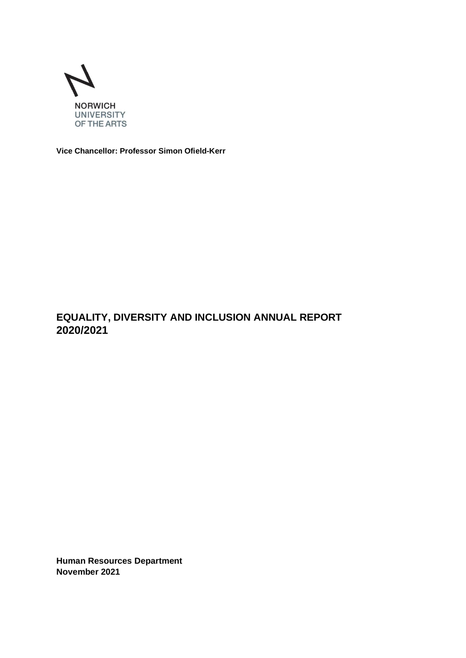

**Vice Chancellor: Professor Simon Ofield-Kerr**

# **EQUALITY, DIVERSITY AND INCLUSION ANNUAL REPORT 2020/2021**

**Human Resources Department November 2021**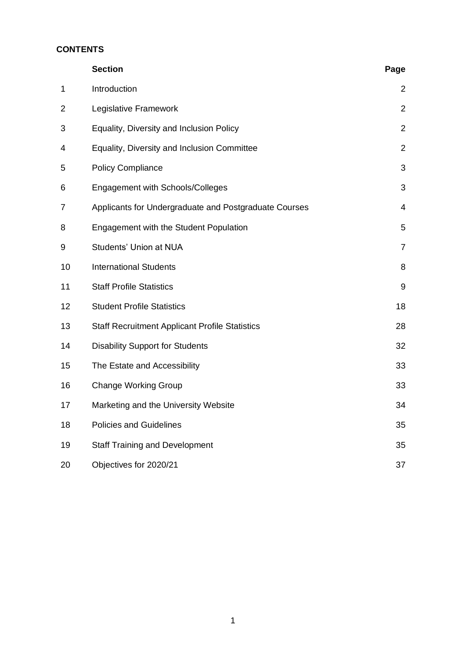# **CONTENTS**

|                | <b>Section</b>                                        | Page           |
|----------------|-------------------------------------------------------|----------------|
| $\mathbf 1$    | Introduction                                          | 2              |
| $\overline{2}$ | Legislative Framework                                 | $\overline{2}$ |
| 3              | Equality, Diversity and Inclusion Policy              | $\overline{2}$ |
| 4              | Equality, Diversity and Inclusion Committee           | $\overline{2}$ |
| 5              | <b>Policy Compliance</b>                              | 3              |
| 6              | Engagement with Schools/Colleges                      | 3              |
| 7              | Applicants for Undergraduate and Postgraduate Courses | 4              |
| 8              | Engagement with the Student Population                | 5              |
| 9              | Students' Union at NUA                                | $\overline{7}$ |
| 10             | <b>International Students</b>                         | 8              |
| 11             | <b>Staff Profile Statistics</b>                       | 9              |
| 12             | <b>Student Profile Statistics</b>                     | 18             |
| 13             | <b>Staff Recruitment Applicant Profile Statistics</b> | 28             |
| 14             | <b>Disability Support for Students</b>                | 32             |
| 15             | The Estate and Accessibility                          | 33             |
| 16             | <b>Change Working Group</b>                           | 33             |
| 17             | Marketing and the University Website                  | 34             |
| 18             | <b>Policies and Guidelines</b>                        | 35             |
| 19             | <b>Staff Training and Development</b>                 | 35             |
| 20             | Objectives for 2020/21                                | 37             |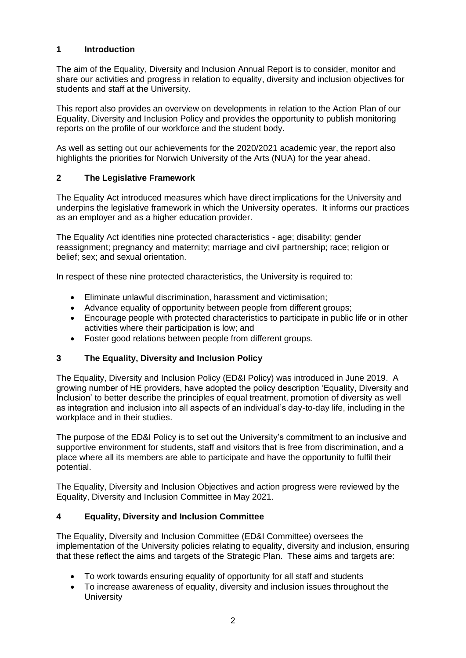## **1 Introduction**

The aim of the Equality, Diversity and Inclusion Annual Report is to consider, monitor and share our activities and progress in relation to equality, diversity and inclusion objectives for students and staff at the University.

This report also provides an overview on developments in relation to the Action Plan of our Equality, Diversity and Inclusion Policy and provides the opportunity to publish monitoring reports on the profile of our workforce and the student body.

As well as setting out our achievements for the 2020/2021 academic year, the report also highlights the priorities for Norwich University of the Arts (NUA) for the year ahead.

## **2 The Legislative Framework**

The Equality Act introduced measures which have direct implications for the University and underpins the legislative framework in which the University operates. It informs our practices as an employer and as a higher education provider.

The Equality Act identifies nine protected characteristics - age; disability; gender reassignment; pregnancy and maternity; marriage and civil partnership; race; religion or belief; sex; and sexual orientation.

In respect of these nine protected characteristics, the University is required to:

- Eliminate unlawful discrimination, harassment and victimisation;
- Advance equality of opportunity between people from different groups:
- Encourage people with protected characteristics to participate in public life or in other activities where their participation is low; and
- Foster good relations between people from different groups.

## **3 The Equality, Diversity and Inclusion Policy**

The Equality, Diversity and Inclusion Policy (ED&I Policy) was introduced in June 2019. A growing number of HE providers, have adopted the policy description 'Equality, Diversity and Inclusion' to better describe the principles of equal treatment, promotion of diversity as well as integration and inclusion into all aspects of an individual's day-to-day life, including in the workplace and in their studies.

The purpose of the ED&I Policy is to set out the University's commitment to an inclusive and supportive environment for students, staff and visitors that is free from discrimination, and a place where all its members are able to participate and have the opportunity to fulfil their potential.

The Equality, Diversity and Inclusion Objectives and action progress were reviewed by the Equality, Diversity and Inclusion Committee in May 2021.

## **4 Equality, Diversity and Inclusion Committee**

The Equality, Diversity and Inclusion Committee (ED&I Committee) oversees the implementation of the University policies relating to equality, diversity and inclusion, ensuring that these reflect the aims and targets of the Strategic Plan. These aims and targets are:

- To work towards ensuring equality of opportunity for all staff and students
- To increase awareness of equality, diversity and inclusion issues throughout the **University**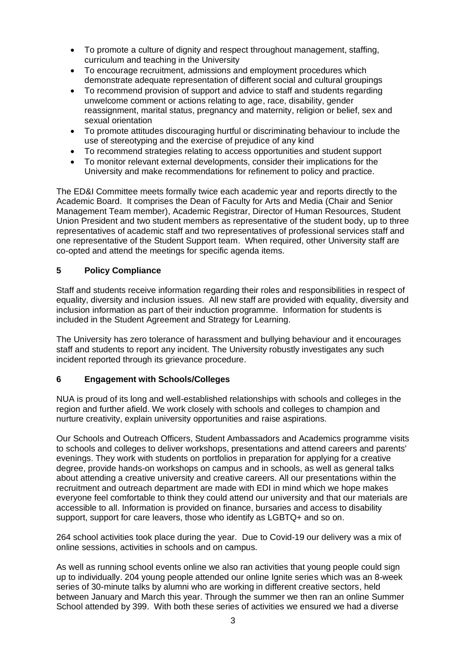- To promote a culture of dignity and respect throughout management, staffing, curriculum and teaching in the University
- To encourage recruitment, admissions and employment procedures which demonstrate adequate representation of different social and cultural groupings
- To recommend provision of support and advice to staff and students regarding unwelcome comment or actions relating to age, race, disability, gender reassignment, marital status, pregnancy and maternity, religion or belief, sex and sexual orientation
- To promote attitudes discouraging hurtful or discriminating behaviour to include the use of stereotyping and the exercise of prejudice of any kind
- To recommend strategies relating to access opportunities and student support
- To monitor relevant external developments, consider their implications for the University and make recommendations for refinement to policy and practice.

The ED&I Committee meets formally twice each academic year and reports directly to the Academic Board. It comprises the Dean of Faculty for Arts and Media (Chair and Senior Management Team member), Academic Registrar, Director of Human Resources, Student Union President and two student members as representative of the student body, up to three representatives of academic staff and two representatives of professional services staff and one representative of the Student Support team. When required, other University staff are co-opted and attend the meetings for specific agenda items.

#### **5 Policy Compliance**

Staff and students receive information regarding their roles and responsibilities in respect of equality, diversity and inclusion issues. All new staff are provided with equality, diversity and inclusion information as part of their induction programme. Information for students is included in the Student Agreement and Strategy for Learning.

The University has zero tolerance of harassment and bullying behaviour and it encourages staff and students to report any incident. The University robustly investigates any such incident reported through its grievance procedure.

## **6 Engagement with Schools/Colleges**

NUA is proud of its long and well-established relationships with schools and colleges in the region and further afield. We work closely with schools and colleges to champion and nurture creativity, explain university opportunities and raise aspirations.

Our Schools and Outreach Officers, Student Ambassadors and Academics programme visits to schools and colleges to deliver workshops, presentations and attend careers and parents' evenings. They work with students on portfolios in preparation for applying for a creative degree, provide hands-on workshops on campus and in schools, as well as general talks about attending a creative university and creative careers. All our presentations within the recruitment and outreach department are made with EDI in mind which we hope makes everyone feel comfortable to think they could attend our university and that our materials are accessible to all. Information is provided on finance, bursaries and access to disability support, support for care leavers, those who identify as LGBTQ+ and so on.

264 school activities took place during the year. Due to Covid-19 our delivery was a mix of online sessions, activities in schools and on campus.

As well as running school events online we also ran activities that young people could sign up to individually. 204 young people attended our online Ignite series which was an 8-week series of 30-minute talks by alumni who are working in different creative sectors, held between January and March this year. Through the summer we then ran an online Summer School attended by 399. With both these series of activities we ensured we had a diverse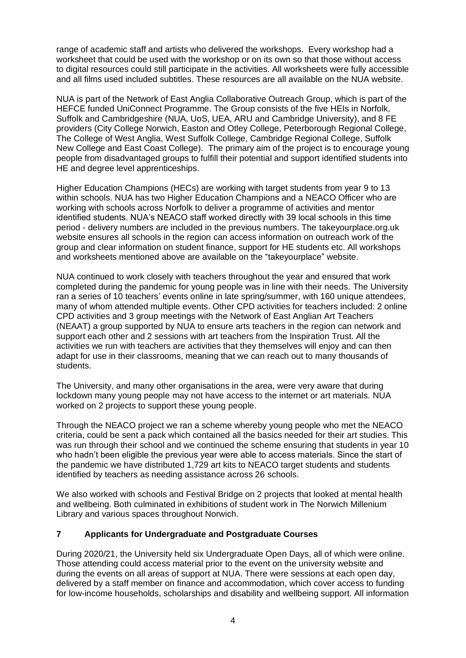range of academic staff and artists who delivered the workshops. Every workshop had a worksheet that could be used with the workshop or on its own so that those without access to digital resources could still participate in the activities. All worksheets were fully accessible and all films used included subtitles. These resources are all available on the NUA website.

NUA is part of the Network of East Anglia Collaborative Outreach Group, which is part of the HEFCE funded UniConnect Programme. The Group consists of the five HEIs in Norfolk, Suffolk and Cambridgeshire (NUA, UoS, UEA, ARU and Cambridge University), and 8 FE providers (City College Norwich, Easton and Otley College, Peterborough Regional College, The College of West Anglia, West Suffolk College, Cambridge Regional College, Suffolk New College and East Coast College). The primary aim of the project is to encourage young people from disadvantaged groups to fulfill their potential and support identified students into HE and degree level apprenticeships.

Higher Education Champions (HECs) are working with target students from year 9 to 13 within schools. NUA has two Higher Education Champions and a NEACO Officer who are working with schools across Norfolk to deliver a programme of activities and mentor identified students. NUA's NEACO staff worked directly with 39 local schools in this time period - delivery numbers are included in the previous numbers. The takeyourplace.org.uk website ensures all schools in the region can access information on outreach work of the group and clear information on student finance, support for HE students etc. All workshops and worksheets mentioned above are available on the "takeyourplace" website.

NUA continued to work closely with teachers throughout the year and ensured that work completed during the pandemic for young people was in line with their needs. The University ran a series of 10 teachers' events online in late spring/summer, with 160 unique attendees, many of whom attended multiple events. Other CPD activities for teachers included: 2 online CPD activities and 3 group meetings with the Network of East Anglian Art Teachers (NEAAT) a group supported by NUA to ensure arts teachers in the region can network and support each other and 2 sessions with art teachers from the Inspiration Trust. All the activities we run with teachers are activities that they themselves will enjoy and can then adapt for use in their classrooms, meaning that we can reach out to many thousands of students.

The University, and many other organisations in the area, were very aware that during lockdown many young people may not have access to the internet or art materials. NUA worked on 2 projects to support these young people.

Through the NEACO project we ran a scheme whereby young people who met the NEACO criteria, could be sent a pack which contained all the basics needed for their art studies. This was run through their school and we continued the scheme ensuring that students in year 10 who hadn't been eligible the previous year were able to access materials. Since the start of the pandemic we have distributed 1,729 art kits to NEACO target students and students identified by teachers as needing assistance across 26 schools.

We also worked with schools and Festival Bridge on 2 projects that looked at mental health and wellbeing. Both culminated in exhibitions of student work in The Norwich Millenium Library and various spaces throughout Norwich.

## **7 Applicants for Undergraduate and Postgraduate Courses**

During 2020/21, the University held six Undergraduate Open Days, all of which were online. Those attending could access material prior to the event on the university website and during the events on all areas of support at NUA. There were sessions at each open day, delivered by a staff member on finance and accommodation, which cover access to funding for low-income households, scholarships and disability and wellbeing support. All information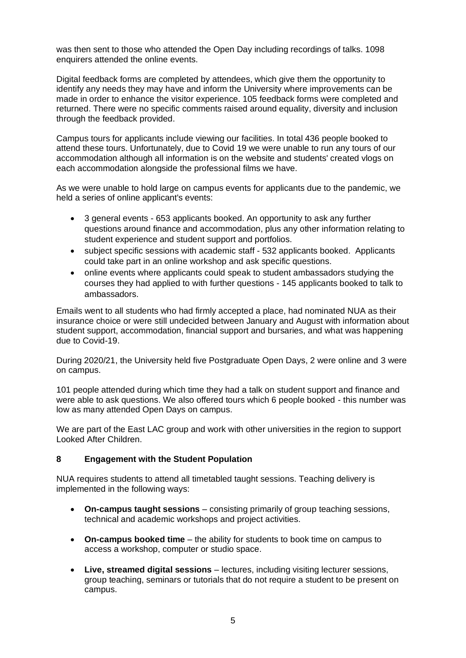was then sent to those who attended the Open Day including recordings of talks. 1098 enquirers attended the online events.

Digital feedback forms are completed by attendees, which give them the opportunity to identify any needs they may have and inform the University where improvements can be made in order to enhance the visitor experience. 105 feedback forms were completed and returned. There were no specific comments raised around equality, diversity and inclusion through the feedback provided.

Campus tours for applicants include viewing our facilities. In total 436 people booked to attend these tours. Unfortunately, due to Covid 19 we were unable to run any tours of our accommodation although all information is on the website and students' created vlogs on each accommodation alongside the professional films we have.

As we were unable to hold large on campus events for applicants due to the pandemic, we held a series of online applicant's events:

- 3 general events 653 applicants booked. An opportunity to ask any further questions around finance and accommodation, plus any other information relating to student experience and student support and portfolios.
- subject specific sessions with academic staff 532 applicants booked. Applicants could take part in an online workshop and ask specific questions.
- online events where applicants could speak to student ambassadors studying the courses they had applied to with further questions - 145 applicants booked to talk to ambassadors.

Emails went to all students who had firmly accepted a place, had nominated NUA as their insurance choice or were still undecided between January and August with information about student support, accommodation, financial support and bursaries, and what was happening due to Covid-19.

During 2020/21, the University held five Postgraduate Open Days, 2 were online and 3 were on campus.

101 people attended during which time they had a talk on student support and finance and were able to ask questions. We also offered tours which 6 people booked - this number was low as many attended Open Days on campus.

We are part of the East LAC group and work with other universities in the region to support Looked After Children.

#### **8 Engagement with the Student Population**

NUA requires students to attend all timetabled taught sessions. Teaching delivery is implemented in the following ways:

- **On-campus taught sessions**  consisting primarily of group teaching sessions, technical and academic workshops and project activities.
- **On-campus booked time**  the ability for students to book time on campus to access a workshop, computer or studio space.
- **Live, streamed digital sessions**  lectures, including visiting lecturer sessions, group teaching, seminars or tutorials that do not require a student to be present on campus.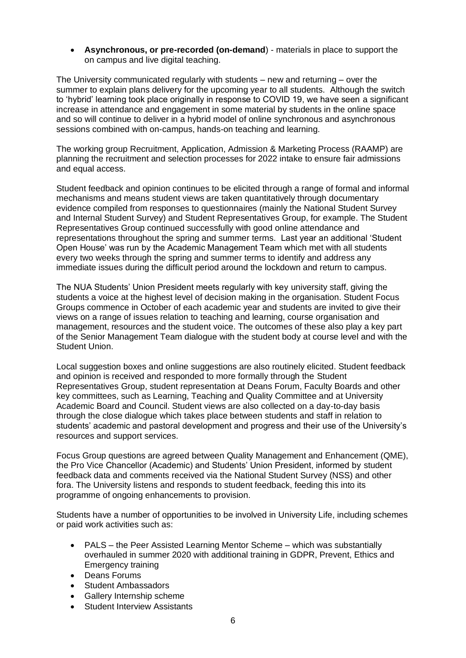• **Asynchronous, or pre-recorded (on-demand**) - materials in place to support the on campus and live digital teaching.

The University communicated regularly with students – new and returning – over the summer to explain plans delivery for the upcoming year to all students. Although the switch to 'hybrid' learning took place originally in response to COVID 19, we have seen a significant increase in attendance and engagement in some material by students in the online space and so will continue to deliver in a hybrid model of online synchronous and asynchronous sessions combined with on-campus, hands-on teaching and learning.

The working group Recruitment, Application, Admission & Marketing Process (RAAMP) are planning the recruitment and selection processes for 2022 intake to ensure fair admissions and equal access.

Student feedback and opinion continues to be elicited through a range of formal and informal mechanisms and means student views are taken quantitatively through documentary evidence compiled from responses to questionnaires (mainly the National Student Survey and Internal Student Survey) and Student Representatives Group, for example. The Student Representatives Group continued successfully with good online attendance and representations throughout the spring and summer terms. Last year an additional 'Student Open House' was run by the Academic Management Team which met with all students every two weeks through the spring and summer terms to identify and address any immediate issues during the difficult period around the lockdown and return to campus.

The NUA Students' Union President meets regularly with key university staff, giving the students a voice at the highest level of decision making in the organisation. Student Focus Groups commence in October of each academic year and students are invited to give their views on a range of issues relation to teaching and learning, course organisation and management, resources and the student voice. The outcomes of these also play a key part of the Senior Management Team dialogue with the student body at course level and with the Student Union.

Local suggestion boxes and online suggestions are also routinely elicited. Student feedback and opinion is received and responded to more formally through the Student Representatives Group, student representation at Deans Forum, Faculty Boards and other key committees, such as Learning, Teaching and Quality Committee and at University Academic Board and Council. Student views are also collected on a day-to-day basis through the close dialogue which takes place between students and staff in relation to students' academic and pastoral development and progress and their use of the University's resources and support services.

Focus Group questions are agreed between Quality Management and Enhancement (QME), the Pro Vice Chancellor (Academic) and Students' Union President, informed by student feedback data and comments received via the National Student Survey (NSS) and other fora. The University listens and responds to student feedback, feeding this into its programme of ongoing enhancements to provision.

Students have a number of opportunities to be involved in University Life, including schemes or paid work activities such as:

- PALS the Peer Assisted Learning Mentor Scheme which was substantially overhauled in summer 2020 with additional training in GDPR, Prevent, Ethics and Emergency training
- Deans Forums
- Student Ambassadors
- Gallery Internship scheme
- **Student Interview Assistants**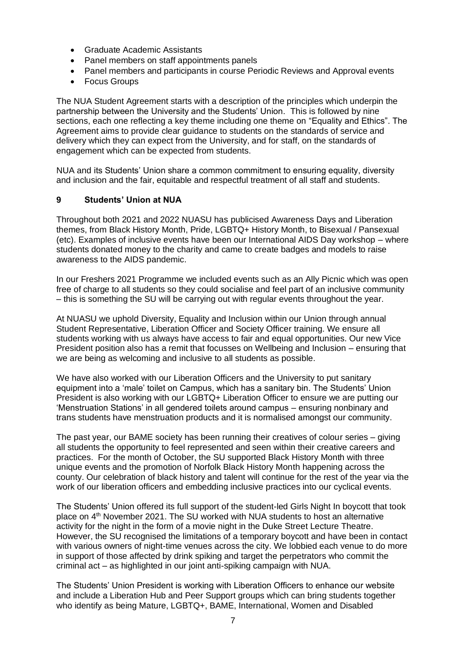- Graduate Academic Assistants
- Panel members on staff appointments panels
- Panel members and participants in course Periodic Reviews and Approval events
- Focus Groups

The NUA Student Agreement starts with a description of the principles which underpin the partnership between the University and the Students' Union. This is followed by nine sections, each one reflecting a key theme including one theme on "Equality and Ethics". The Agreement aims to provide clear guidance to students on the standards of service and delivery which they can expect from the University, and for staff, on the standards of engagement which can be expected from students.

NUA and its Students' Union share a common commitment to ensuring equality, diversity and inclusion and the fair, equitable and respectful treatment of all staff and students.

#### **9 Students' Union at NUA**

Throughout both 2021 and 2022 NUASU has publicised Awareness Days and Liberation themes, from Black History Month, Pride, LGBTQ+ History Month, to Bisexual / Pansexual (etc). Examples of inclusive events have been our International AIDS Day workshop – where students donated money to the charity and came to create badges and models to raise awareness to the AIDS pandemic.

In our Freshers 2021 Programme we included events such as an Ally Picnic which was open free of charge to all students so they could socialise and feel part of an inclusive community – this is something the SU will be carrying out with regular events throughout the year.

At NUASU we uphold Diversity, Equality and Inclusion within our Union through annual Student Representative, Liberation Officer and Society Officer training. We ensure all students working with us always have access to fair and equal opportunities. Our new Vice President position also has a remit that focusses on Wellbeing and Inclusion – ensuring that we are being as welcoming and inclusive to all students as possible.

We have also worked with our Liberation Officers and the University to put sanitary equipment into a 'male' toilet on Campus, which has a sanitary bin. The Students' Union President is also working with our LGBTQ+ Liberation Officer to ensure we are putting our 'Menstruation Stations' in all gendered toilets around campus – ensuring nonbinary and trans students have menstruation products and it is normalised amongst our community.

The past year, our BAME society has been running their creatives of colour series – giving all students the opportunity to feel represented and seen within their creative careers and practices. For the month of October, the SU supported Black History Month with three unique events and the promotion of Norfolk Black History Month happening across the county. Our celebration of black history and talent will continue for the rest of the year via the work of our liberation officers and embedding inclusive practices into our cyclical events.

The Students' Union offered its full support of the student-led Girls Night In boycott that took place on 4<sup>th</sup> November 2021. The SU worked with NUA students to host an alternative activity for the night in the form of a movie night in the Duke Street Lecture Theatre. However, the SU recognised the limitations of a temporary boycott and have been in contact with various owners of night-time venues across the city. We lobbied each venue to do more in support of those affected by drink spiking and target the perpetrators who commit the criminal act – as highlighted in our joint anti-spiking campaign with NUA.

The Students' Union President is working with Liberation Officers to enhance our website and include a Liberation Hub and Peer Support groups which can bring students together who identify as being Mature, LGBTQ+, BAME, International, Women and Disabled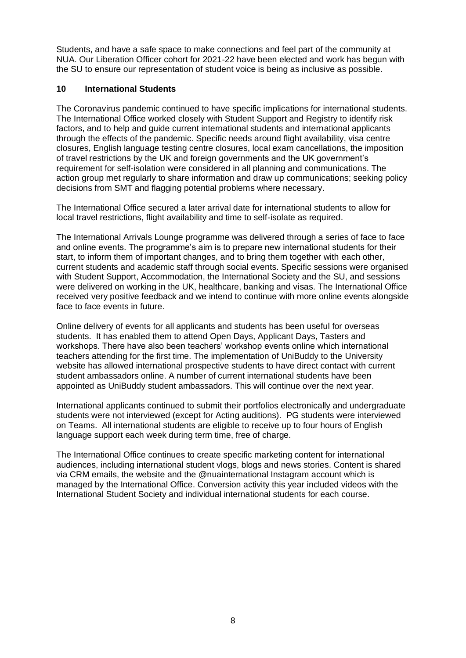Students, and have a safe space to make connections and feel part of the community at NUA. Our Liberation Officer cohort for 2021-22 have been elected and work has begun with the SU to ensure our representation of student voice is being as inclusive as possible.

#### **10 International Students**

The Coronavirus pandemic continued to have specific implications for international students. The International Office worked closely with Student Support and Registry to identify risk factors, and to help and guide current international students and international applicants through the effects of the pandemic. Specific needs around flight availability, visa centre closures, English language testing centre closures, local exam cancellations, the imposition of travel restrictions by the UK and foreign governments and the UK government's requirement for self-isolation were considered in all planning and communications. The action group met regularly to share information and draw up communications; seeking policy decisions from SMT and flagging potential problems where necessary.

The International Office secured a later arrival date for international students to allow for local travel restrictions, flight availability and time to self-isolate as required.

The International Arrivals Lounge programme was delivered through a series of face to face and online events. The programme's aim is to prepare new international students for their start, to inform them of important changes, and to bring them together with each other, current students and academic staff through social events. Specific sessions were organised with Student Support, Accommodation, the International Society and the SU, and sessions were delivered on working in the UK, healthcare, banking and visas. The International Office received very positive feedback and we intend to continue with more online events alongside face to face events in future.

Online delivery of events for all applicants and students has been useful for overseas students. It has enabled them to attend Open Days, Applicant Days, Tasters and workshops. There have also been teachers' workshop events online which international teachers attending for the first time. The implementation of UniBuddy to the University website has allowed international prospective students to have direct contact with current student ambassadors online. A number of current international students have been appointed as UniBuddy student ambassadors. This will continue over the next year.

International applicants continued to submit their portfolios electronically and undergraduate students were not interviewed (except for Acting auditions). PG students were interviewed on Teams. All international students are eligible to receive up to four hours of English language support each week during term time, free of charge.

The International Office continues to create specific marketing content for international audiences, including international student vlogs, blogs and news stories. Content is shared via CRM emails, the website and the @nuainternational Instagram account which is managed by the International Office. Conversion activity this year included videos with the International Student Society and individual international students for each course.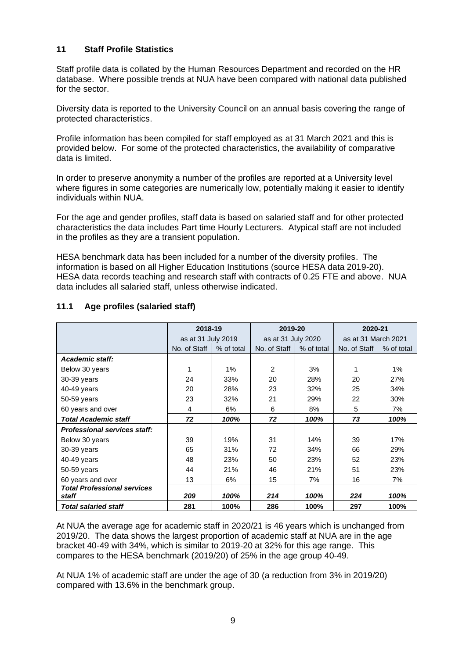#### **11 Staff Profile Statistics**

Staff profile data is collated by the Human Resources Department and recorded on the HR database. Where possible trends at NUA have been compared with national data published for the sector.

Diversity data is reported to the University Council on an annual basis covering the range of protected characteristics.

Profile information has been compiled for staff employed as at 31 March 2021 and this is provided below. For some of the protected characteristics, the availability of comparative data is limited.

In order to preserve anonymity a number of the profiles are reported at a University level where figures in some categories are numerically low, potentially making it easier to identify individuals within NUA.

For the age and gender profiles, staff data is based on salaried staff and for other protected characteristics the data includes Part time Hourly Lecturers. Atypical staff are not included in the profiles as they are a transient population.

HESA benchmark data has been included for a number of the diversity profiles. The information is based on all Higher Education Institutions (source HESA data 2019-20). HESA data records teaching and research staff with contracts of 0.25 FTE and above. NUA data includes all salaried staff, unless otherwise indicated.

|                                     | 2018-19            |            | 2019-20            |            | 2020-21             |            |
|-------------------------------------|--------------------|------------|--------------------|------------|---------------------|------------|
|                                     | as at 31 July 2019 |            | as at 31 July 2020 |            | as at 31 March 2021 |            |
|                                     | No. of Staff       | % of total | No. of Staff       | % of total | No. of Staff        | % of total |
| Academic staff:                     |                    |            |                    |            |                     |            |
| Below 30 years                      |                    | $1\%$      | $\mathfrak{p}$     | 3%         |                     | 1%         |
| 30-39 years                         | 24                 | 33%        | 20                 | 28%        | 20                  | 27%        |
| 40-49 years                         | 20                 | 28%        | 23                 | 32%        | 25                  | 34%        |
| 50-59 years                         | 23                 | 32%        | 21                 | 29%        | 22                  | 30%        |
| 60 years and over                   | 4                  | 6%         | 6                  | 8%         | 5                   | 7%         |
| <b>Total Academic staff</b>         | 72                 | 100%       | 72                 | 100%       | 73                  | 100%       |
| <b>Professional services staff:</b> |                    |            |                    |            |                     |            |
| Below 30 years                      | 39                 | 19%        | 31                 | 14%        | 39                  | 17%        |
| 30-39 years                         | 65                 | 31%        | 72                 | 34%        | 66                  | 29%        |
| 40-49 years                         | 48                 | 23%        | 50                 | 23%        | 52                  | 23%        |
| 50-59 years                         | 44                 | 21%        | 46                 | 21%        | 51                  | 23%        |
| 60 years and over                   | 13                 | 6%         | 15                 | 7%         | 16                  | 7%         |
| <b>Total Professional services</b>  |                    |            |                    |            |                     |            |
| staff                               | 209                | 100%       | 214                | 100%       | 224                 | 100%       |
| <b>Total salaried staff</b>         | 281                | 100%       | 286                | 100%       | 297                 | 100%       |

#### **11.1 Age profiles (salaried staff)**

At NUA the average age for academic staff in 2020/21 is 46 years which is unchanged from 2019/20. The data shows the largest proportion of academic staff at NUA are in the age bracket 40-49 with 34%, which is similar to 2019-20 at 32% for this age range. This compares to the HESA benchmark (2019/20) of 25% in the age group 40-49.

At NUA 1% of academic staff are under the age of 30 (a reduction from 3% in 2019/20) compared with 13.6% in the benchmark group.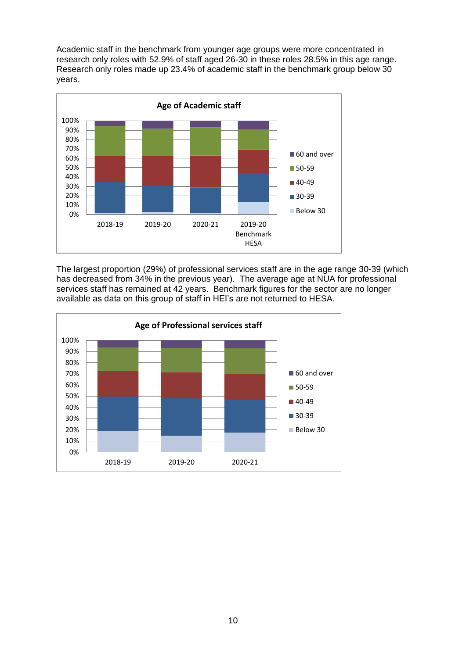Academic staff in the benchmark from younger age groups were more concentrated in research only roles with 52.9% of staff aged 26-30 in these roles 28.5% in this age range. Research only roles made up 23.4% of academic staff in the benchmark group below 30 years.



The largest proportion (29%) of professional services staff are in the age range 30-39 (which has decreased from 34% in the previous year). The average age at NUA for professional services staff has remained at 42 years. Benchmark figures for the sector are no longer available as data on this group of staff in HEI's are not returned to HESA.

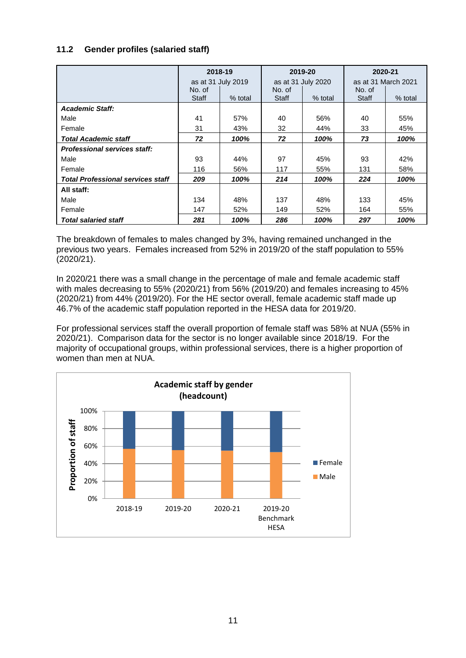## **11.2 Gender profiles (salaried staff)**

|                                          | 2018-19<br>2019-20 |                    |        | 2020-21            |        |                     |
|------------------------------------------|--------------------|--------------------|--------|--------------------|--------|---------------------|
|                                          |                    | as at 31 July 2019 |        | as at 31 July 2020 |        | as at 31 March 2021 |
|                                          | No. of             |                    | No. of |                    | No. of |                     |
|                                          | Staff              | % total            | Staff  | % total            | Staff  | % total             |
| <b>Academic Staff:</b>                   |                    |                    |        |                    |        |                     |
| Male                                     | 41                 | 57%                | 40     | 56%                | 40     | 55%                 |
| Female                                   | 31                 | 43%                | 32     | 44%                | 33     | 45%                 |
| <b>Total Academic staff</b>              | 72                 | 100%               | 72     | 100%               | 73     | 100%                |
| <b>Professional services staff:</b>      |                    |                    |        |                    |        |                     |
| Male                                     | 93                 | 44%                | 97     | 45%                | 93     | 42%                 |
| Female                                   | 116                | 56%                | 117    | 55%                | 131    | 58%                 |
| <b>Total Professional services staff</b> | 209                | 100%               | 214    | 100%               | 224    | 100%                |
| All staff:                               |                    |                    |        |                    |        |                     |
| Male                                     | 134                | 48%                | 137    | 48%                | 133    | 45%                 |
| Female                                   | 147                | 52%                | 149    | 52%                | 164    | 55%                 |
| <b>Total salaried staff</b>              | 281                | 100%               | 286    | 100%               | 297    | 100%                |

The breakdown of females to males changed by 3%, having remained unchanged in the previous two years. Females increased from 52% in 2019/20 of the staff population to 55% (2020/21).

In 2020/21 there was a small change in the percentage of male and female academic staff with males decreasing to 55% (2020/21) from 56% (2019/20) and females increasing to 45% (2020/21) from 44% (2019/20). For the HE sector overall, female academic staff made up 46.7% of the academic staff population reported in the HESA data for 2019/20.

For professional services staff the overall proportion of female staff was 58% at NUA (55% in 2020/21). Comparison data for the sector is no longer available since 2018/19. For the majority of occupational groups, within professional services, there is a higher proportion of women than men at NUA

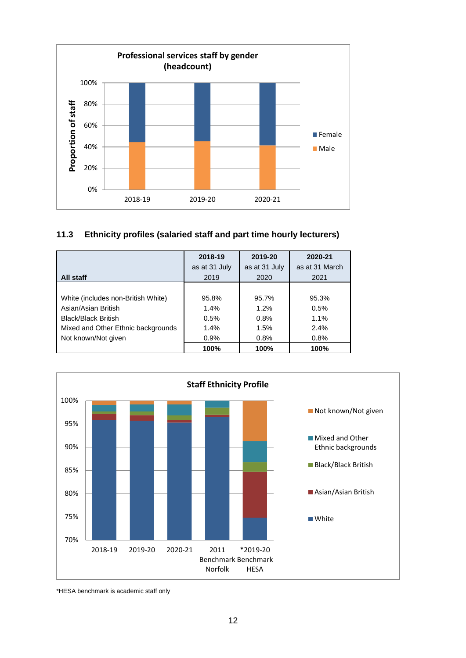

## **11.3 Ethnicity profiles (salaried staff and part time hourly lecturers)**

|                                    | 2018-19<br>as at 31 July | 2019-20<br>as at 31 July | 2020-21<br>as at 31 March |
|------------------------------------|--------------------------|--------------------------|---------------------------|
| All staff                          | 2019                     | 2020                     | 2021                      |
|                                    |                          |                          |                           |
| White (includes non-British White) | 95.8%                    | 95.7%                    | 95.3%                     |
| Asian/Asian British                | $1.4\%$                  | 1.2%                     | 0.5%                      |
| <b>Black/Black British</b>         | 0.5%                     | 0.8%                     | 1.1%                      |
| Mixed and Other Ethnic backgrounds | 1.4%                     | 1.5%                     | 2.4%                      |
| Not known/Not given                | 0.9%                     | 0.8%                     | 0.8%                      |
|                                    | 100%                     | 100%                     | 100%                      |



\*HESA benchmark is academic staff only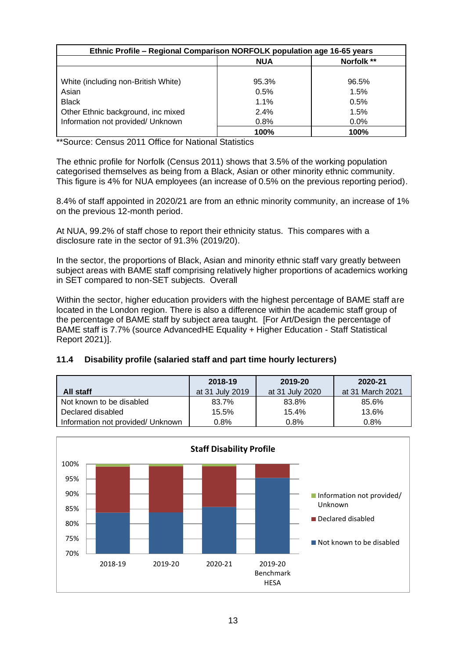| Ethnic Profile - Regional Comparison NORFOLK population age 16-65 years |            |            |  |
|-------------------------------------------------------------------------|------------|------------|--|
|                                                                         | <b>NUA</b> | Norfolk ** |  |
| White (including non-British White)                                     | 95.3%      | 96.5%      |  |
| Asian                                                                   | 0.5%       | 1.5%       |  |
| <b>Black</b>                                                            | $1.1\%$    | 0.5%       |  |
| Other Ethnic background, inc mixed                                      | 2.4%       | 1.5%       |  |
| Information not provided/ Unknown                                       | 0.8%       | $0.0\%$    |  |
|                                                                         | 100%       | 100%       |  |

\*\*Source: Census 2011 Office for National Statistics

The ethnic profile for Norfolk (Census 2011) shows that 3.5% of the working population categorised themselves as being from a Black, Asian or other minority ethnic community. This figure is 4% for NUA employees (an increase of 0.5% on the previous reporting period).

8.4% of staff appointed in 2020/21 are from an ethnic minority community, an increase of 1% on the previous 12-month period.

At NUA, 99.2% of staff chose to report their ethnicity status. This compares with a disclosure rate in the sector of 91.3% (2019/20).

In the sector, the proportions of Black, Asian and minority ethnic staff vary greatly between subject areas with BAME staff comprising relatively higher proportions of academics working in SET compared to non-SET subjects. Overall

Within the sector, higher education providers with the highest percentage of BAME staff are located in the London region. There is also a difference within the academic staff group of the percentage of BAME staff by subject area taught. [For Art/Design the percentage of BAME staff is 7.7% (source AdvancedHE Equality + Higher Education - Staff Statistical Report 2021)].

## **11.4 Disability profile (salaried staff and part time hourly lecturers)**

|                                   | 2018-19         | 2019-20         | 2020-21          |
|-----------------------------------|-----------------|-----------------|------------------|
| All staff                         | at 31 July 2019 | at 31 July 2020 | at 31 March 2021 |
| Not known to be disabled          | 83.7%           | 83.8%           | 85.6%            |
| Declared disabled                 | 15.5%           | 15.4%           | 13.6%            |
| Information not provided/ Unknown | 0.8%            | 0.8%            | $0.8\%$          |

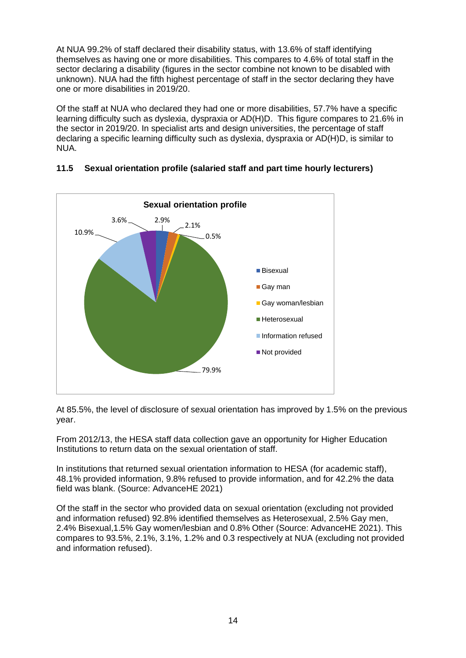At NUA 99.2% of staff declared their disability status, with 13.6% of staff identifying themselves as having one or more disabilities. This compares to 4.6% of total staff in the sector declaring a disability (figures in the sector combine not known to be disabled with unknown). NUA had the fifth highest percentage of staff in the sector declaring they have one or more disabilities in 2019/20.

Of the staff at NUA who declared they had one or more disabilities, 57.7% have a specific learning difficulty such as dyslexia, dyspraxia or AD(H)D. This figure compares to 21.6% in the sector in 2019/20. In specialist arts and design universities, the percentage of staff declaring a specific learning difficulty such as dyslexia, dyspraxia or AD(H)D, is similar to NUA.



## **11.5 Sexual orientation profile (salaried staff and part time hourly lecturers)**

At 85.5%, the level of disclosure of sexual orientation has improved by 1.5% on the previous year.

From 2012/13, the HESA staff data collection gave an opportunity for Higher Education Institutions to return data on the sexual orientation of staff.

In institutions that returned sexual orientation information to HESA (for academic staff), 48.1% provided information, 9.8% refused to provide information, and for 42.2% the data field was blank. (Source: AdvanceHE 2021)

Of the staff in the sector who provided data on sexual orientation (excluding not provided and information refused) 92.8% identified themselves as Heterosexual, 2.5% Gay men, 2.4% Bisexual,1.5% Gay women/lesbian and 0.8% Other (Source: AdvanceHE 2021). This compares to 93.5%, 2.1%, 3.1%, 1.2% and 0.3 respectively at NUA (excluding not provided and information refused).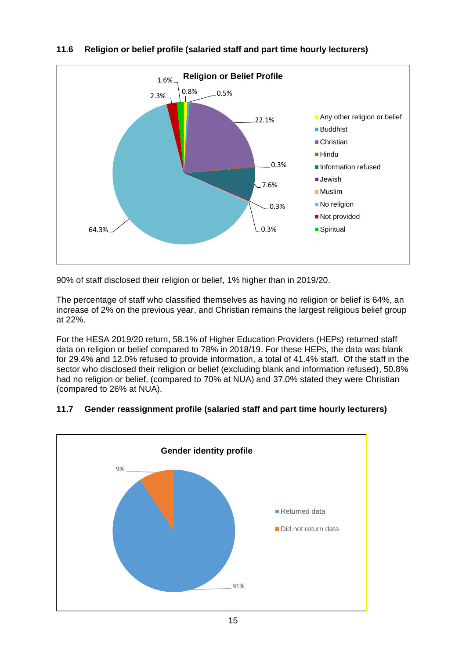

## **11.6 Religion or belief profile (salaried staff and part time hourly lecturers)**

90% of staff disclosed their religion or belief, 1% higher than in 2019/20.

The percentage of staff who classified themselves as having no religion or belief is 64%, an increase of 2% on the previous year, and Christian remains the largest religious belief group at 22%.

For the HESA 2019/20 return, 58.1% of Higher Education Providers (HEPs) returned staff data on religion or belief compared to 78% in 2018/19. For these HEPs, the data was blank for 29.4% and 12.0% refused to provide information, a total of 41.4% staff. Of the staff in the sector who disclosed their religion or belief (excluding blank and information refused), 50.8% had no religion or belief, (compared to 70% at NUA) and 37.0% stated they were Christian (compared to 26% at NUA).

# 91% 9% **Gender identity profile** Returned data Did not return data

## **11.7 Gender reassignment profile (salaried staff and part time hourly lecturers)**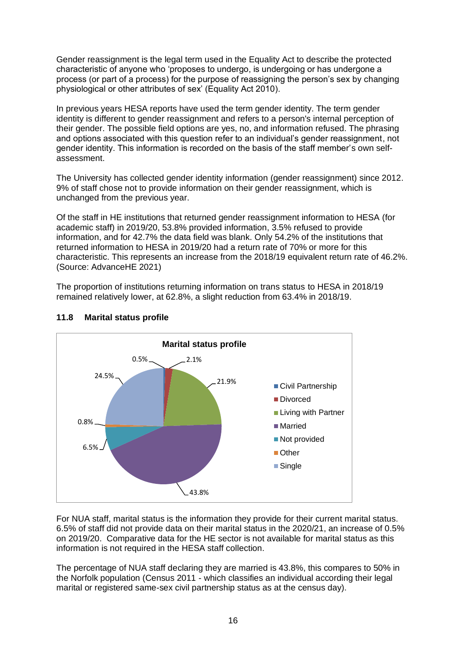Gender reassignment is the legal term used in the Equality Act to describe the protected characteristic of anyone who 'proposes to undergo, is undergoing or has undergone a process (or part of a process) for the purpose of reassigning the person's sex by changing physiological or other attributes of sex' (Equality Act 2010).

In previous years HESA reports have used the term gender identity. The term gender identity is different to gender reassignment and refers to a person's internal perception of their gender. The possible field options are yes, no, and information refused. The phrasing and options associated with this question refer to an individual's gender reassignment, not gender identity. This information is recorded on the basis of the staff member's own selfassessment.

The University has collected gender identity information (gender reassignment) since 2012. 9% of staff chose not to provide information on their gender reassignment, which is unchanged from the previous year.

Of the staff in HE institutions that returned gender reassignment information to HESA (for academic staff) in 2019/20, 53.8% provided information, 3.5% refused to provide information, and for 42.7% the data field was blank. Only 54.2% of the institutions that returned information to HESA in 2019/20 had a return rate of 70% or more for this characteristic. This represents an increase from the 2018/19 equivalent return rate of 46.2%. (Source: AdvanceHE 2021)

The proportion of institutions returning information on trans status to HESA in 2018/19 remained relatively lower, at 62.8%, a slight reduction from 63.4% in 2018/19.



## **11.8 Marital status profile**

For NUA staff, marital status is the information they provide for their current marital status. 6.5% of staff did not provide data on their marital status in the 2020/21, an increase of 0.5% on 2019/20. Comparative data for the HE sector is not available for marital status as this information is not required in the HESA staff collection.

The percentage of NUA staff declaring they are married is 43.8%, this compares to 50% in the Norfolk population (Census 2011 - which classifies an individual according their legal marital or registered same-sex civil partnership status as at the census day).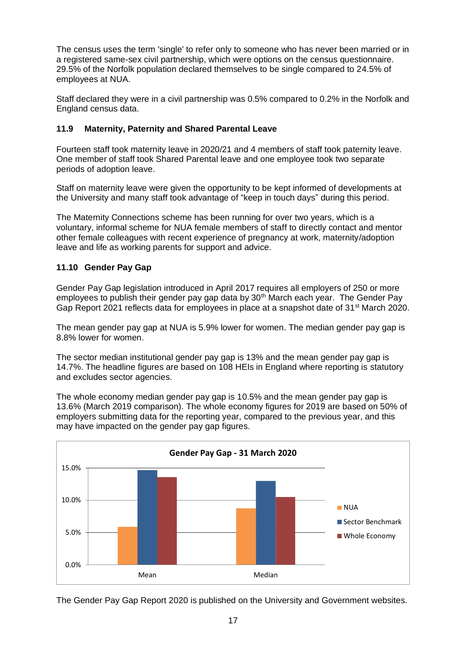The census uses the term 'single' to refer only to someone who has never been married or in a registered same-sex civil partnership, which were options on the census questionnaire. 29.5% of the Norfolk population declared themselves to be single compared to 24.5% of employees at NUA.

Staff declared they were in a civil partnership was 0.5% compared to 0.2% in the Norfolk and England census data.

## **11.9 Maternity, Paternity and Shared Parental Leave**

Fourteen staff took maternity leave in 2020/21 and 4 members of staff took paternity leave. One member of staff took Shared Parental leave and one employee took two separate periods of adoption leave.

Staff on maternity leave were given the opportunity to be kept informed of developments at the University and many staff took advantage of "keep in touch days" during this period.

The Maternity Connections scheme has been running for over two years, which is a voluntary, informal scheme for NUA female members of staff to directly contact and mentor other female colleagues with recent experience of pregnancy at work, maternity/adoption leave and life as working parents for support and advice.

## **11.10 Gender Pay Gap**

Gender Pay Gap legislation introduced in April 2017 requires all employers of 250 or more employees to publish their gender pay gap data by 30<sup>th</sup> March each year. The Gender Pay Gap Report 2021 reflects data for employees in place at a snapshot date of 31<sup>st</sup> March 2020.

The mean gender pay gap at NUA is 5.9% lower for women. The median gender pay gap is 8.8% lower for women.

The sector median institutional gender pay gap is 13% and the mean gender pay gap is 14.7%. The headline figures are based on 108 HEIs in England where reporting is statutory and excludes sector agencies.

The whole economy median gender pay gap is 10.5% and the mean gender pay gap is 13.6% (March 2019 comparison). The whole economy figures for 2019 are based on 50% of employers submitting data for the reporting year, compared to the previous year, and this may have impacted on the gender pay gap figures.



The Gender Pay Gap Report 2020 is published on the University and Government websites.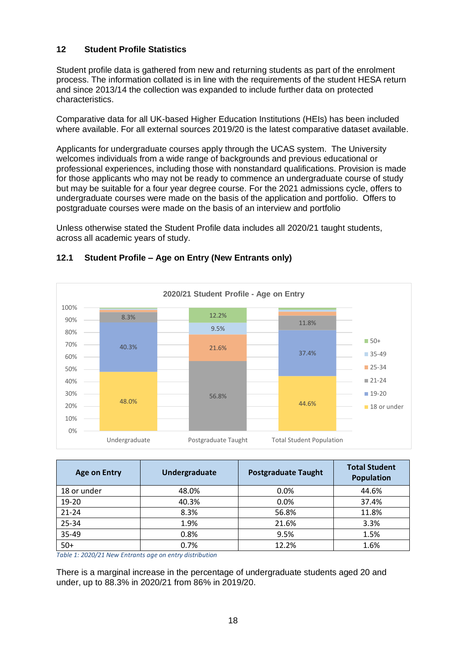## **12 Student Profile Statistics**

Student profile data is gathered from new and returning students as part of the enrolment process. The information collated is in line with the requirements of the student HESA return and since 2013/14 the collection was expanded to include further data on protected characteristics.

Comparative data for all UK-based Higher Education Institutions (HEIs) has been included where available. For all external sources 2019/20 is the latest comparative dataset available.

Applicants for undergraduate courses apply through the UCAS system. The University welcomes individuals from a wide range of backgrounds and previous educational or professional experiences, including those with nonstandard qualifications. Provision is made for those applicants who may not be ready to commence an undergraduate course of study but may be suitable for a four year degree course. For the 2021 admissions cycle, offers to undergraduate courses were made on the basis of the application and portfolio. Offers to postgraduate courses were made on the basis of an interview and portfolio

Unless otherwise stated the Student Profile data includes all 2020/21 taught students, across all academic years of study.



#### **12.1 Student Profile – Age on Entry (New Entrants only)**

| <b>Age on Entry</b> | Undergraduate | <b>Postgraduate Taught</b> | <b>Total Student</b><br><b>Population</b> |
|---------------------|---------------|----------------------------|-------------------------------------------|
| 18 or under         | 48.0%         | 0.0%                       | 44.6%                                     |
| 19-20               | 40.3%         | 0.0%                       | 37.4%                                     |
| $21 - 24$           | 8.3%          | 56.8%                      | 11.8%                                     |
| 25-34               | 1.9%          | 21.6%                      | 3.3%                                      |
| 35-49               | 0.8%          | 9.5%                       | 1.5%                                      |
| $50+$               | 0.7%          | 12.2%                      | 1.6%                                      |

*Table 1: 2020/21 New Entrants age on entry distribution*

There is a marginal increase in the percentage of undergraduate students aged 20 and under, up to 88.3% in 2020/21 from 86% in 2019/20.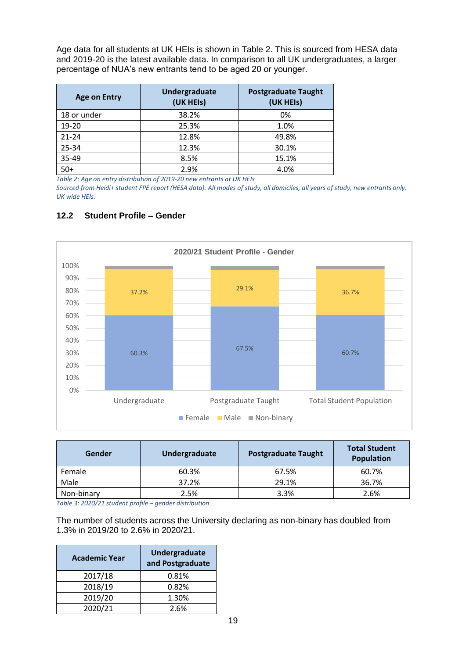Age data for all students at UK HEIs is shown in [Table 2.](#page-19-0) This is sourced from HESA data and 2019-20 is the latest available data. In comparison to all UK undergraduates, a larger percentage of NUA's new entrants tend to be aged 20 or younger.

| <b>Age on Entry</b> | Undergraduate<br>(UK HEIs) | <b>Postgraduate Taught</b><br>(UK HEIs) |
|---------------------|----------------------------|-----------------------------------------|
| 18 or under         | 38.2%                      | 0%                                      |
| $19 - 20$           | 25.3%                      | 1.0%                                    |
| $21 - 24$           | 12.8%                      | 49.8%                                   |
| 25-34               | 12.3%                      | 30.1%                                   |
| 35-49               | 8.5%                       | 15.1%                                   |
| $50+$               | 2.9%                       | 4.0%                                    |

<span id="page-19-0"></span>*Table 2: Age on entry distribution of 2019-20 new entrants at UK HEIs*

*Sourced from Heidi+ student FPE report (HESA data). All modes of study, all domiciles, all years of study, new entrants only. UK wide HEIs.*

## **12.2 Student Profile – Gender**



| Gender     | Undergraduate | <b>Postgraduate Taught</b> | <b>Total Student</b><br><b>Population</b> |
|------------|---------------|----------------------------|-------------------------------------------|
| Female     | 60.3%         | 67.5%                      | 60.7%                                     |
| Male       | 37.2%         | 29.1%                      | 36.7%                                     |
| Non-binary | 2.5%          | 3.3%                       | 2.6%                                      |

*Table 3: 2020/21 student profile – gender distribution*

The number of students across the University declaring as non-binary has doubled from 1.3% in 2019/20 to 2.6% in 2020/21.

| <b>Academic Year</b> | Undergraduate<br>and Postgraduate |
|----------------------|-----------------------------------|
| 2017/18              | 0.81%                             |
| 2018/19              | 0.82%                             |
| 2019/20              | 1.30%                             |
| 2020/21              | 2.6%                              |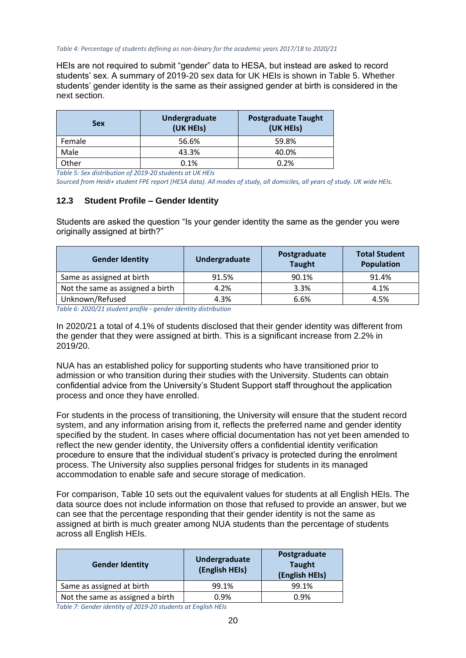HEIs are not required to submit "gender" data to HESA, but instead are asked to record students' sex. A summary of 2019-20 sex data for UK HEIs is shown in [Table 5.](#page-20-0) Whether students' gender identity is the same as their assigned gender at birth is considered in the next section.

| <b>Sex</b> | Undergraduate<br>(UK HEIs) | <b>Postgraduate Taught</b><br>(UK HEIs) |
|------------|----------------------------|-----------------------------------------|
| Female     | 56.6%                      | 59.8%                                   |
| Male       | 43.3%                      | 40.0%                                   |
| Other      | 0.1%                       | 0.2%                                    |

<span id="page-20-0"></span>*Table 5: Sex distribution of 2019-20 students at UK HEIs*

*Sourced from Heidi+ student FPE report (HESA data). All modes of study, all domiciles, all years of study. UK wide HEIs.*

#### **12.3 Student Profile – Gender Identity**

Students are asked the question "Is your gender identity the same as the gender you were originally assigned at birth?"

| <b>Gender Identity</b>           | Undergraduate | Postgraduate<br><b>Taught</b> | <b>Total Student</b><br><b>Population</b> |
|----------------------------------|---------------|-------------------------------|-------------------------------------------|
| Same as assigned at birth        | 91.5%         | 90.1%                         | 91.4%                                     |
| Not the same as assigned a birth | 4.2%          | 3.3%                          | 4.1%                                      |
| Unknown/Refused                  | 4.3%          | 6.6%                          | 4.5%                                      |

*Table 6: 2020/21 student profile - gender identity distribution*

In 2020/21 a total of 4.1% of students disclosed that their gender identity was different from the gender that they were assigned at birth. This is a significant increase from 2.2% in 2019/20.

NUA has an established policy for supporting students who have transitioned prior to admission or who transition during their studies with the University. Students can obtain confidential advice from the University's Student Support staff throughout the application process and once they have enrolled.

For students in the process of transitioning, the University will ensure that the student record system, and any information arising from it, reflects the preferred name and gender identity specified by the student. In cases where official documentation has not yet been amended to reflect the new gender identity, the University offers a confidential identity verification procedure to ensure that the individual student's privacy is protected during the enrolment process. The University also supplies personal fridges for students in its managed accommodation to enable safe and secure storage of medication.

For comparison, [Table](#page-22-0) 10 sets out the equivalent values for students at all English HEIs. The data source does not include information on those that refused to provide an answer, but we can see that the percentage responding that their gender identity is not the same as assigned at birth is much greater among NUA students than the percentage of students across all English HEIs.

| <b>Gender Identity</b>           | Undergraduate<br>(English HEIs) | Postgraduate<br><b>Taught</b><br>(English HEIs) |
|----------------------------------|---------------------------------|-------------------------------------------------|
| Same as assigned at birth        | 99.1%                           | 99.1%                                           |
| Not the same as assigned a birth | 0.9%                            | 0.9%                                            |

*Table 7: Gender identity of 2019-20 students at English HEIs*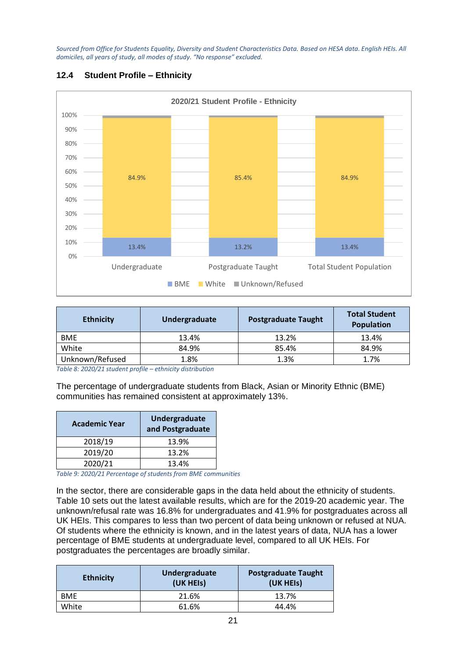*Sourced from Office for Students Equality, Diversity and Student Characteristics Data. Based on HESA data. English HEIs. All domiciles, all years of study, all modes of study. "No response" excluded.*



## **12.4 Student Profile – Ethnicity**

| <b>Ethnicity</b> | Undergraduate | <b>Postgraduate Taught</b> | <b>Total Student</b><br><b>Population</b> |
|------------------|---------------|----------------------------|-------------------------------------------|
| <b>BME</b>       | 13.4%         | 13.2%                      | 13.4%                                     |
| White            | 84.9%         | 85.4%                      | 84.9%                                     |
| Unknown/Refused  | 1.8%          | 1.3%                       | 1.7%                                      |

*Table 8: 2020/21 student profile – ethnicity distribution*

The percentage of undergraduate students from Black, Asian or Minority Ethnic (BME) communities has remained consistent at approximately 13%.

| <b>Academic Year</b> | Undergraduate<br>and Postgraduate |
|----------------------|-----------------------------------|
| 2018/19              | 13.9%                             |
| 2019/20              | 13.2%                             |
| 2020/21              | 13.4%                             |

*Table 9: 2020/21 Percentage of students from BME communities*

In the sector, there are considerable gaps in the data held about the ethnicity of students. [Table 10](#page-22-0) sets out the latest available results, which are for the 2019-20 academic year. The unknown/refusal rate was 16.8% for undergraduates and 41.9% for postgraduates across all UK HEIs. This compares to less than two percent of data being unknown or refused at NUA. Of students where the ethnicity is known, and in the latest years of data, NUA has a lower percentage of BME students at undergraduate level, compared to all UK HEIs. For postgraduates the percentages are broadly similar.

| <b>Ethnicity</b> | Undergraduate<br>(UK HEIS) | <b>Postgraduate Taught</b><br>(UK HEIS) |  |
|------------------|----------------------------|-----------------------------------------|--|
| <b>BME</b>       | 21.6%                      | 13.7%                                   |  |
| White            | 61.6%                      | 44.4%                                   |  |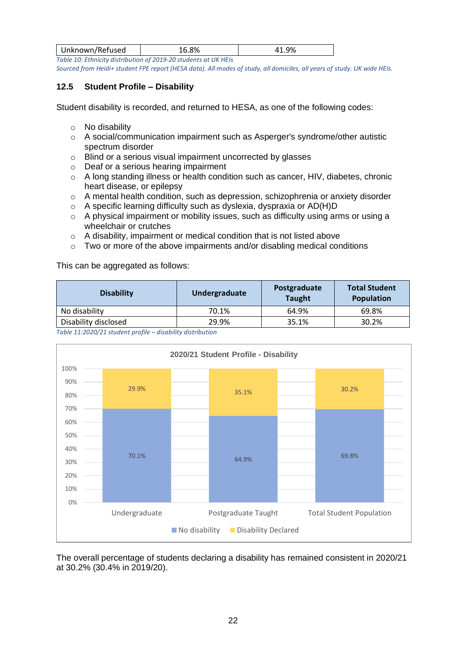| Unknown/Refused | O <sub>O</sub> | $\Omega$ |
|-----------------|----------------|----------|
|                 |                |          |

<span id="page-22-0"></span>*Table 10: Ethnicity distribution of 2019-20 students at UK HEIs Sourced from Heidi+ student FPE report (HESA data). All modes of study, all domiciles, all years of study. UK wide HEIs.*

## **12.5 Student Profile – Disability**

Student disability is recorded, and returned to HESA, as one of the following codes:

- o No disability
- o A social/communication impairment such as Asperger's syndrome/other autistic spectrum disorder
- o Blind or a serious visual impairment uncorrected by glasses
- o Deaf or a serious hearing impairment
- o A long standing illness or health condition such as cancer, HIV, diabetes, chronic heart disease, or epilepsy
- o A mental health condition, such as depression, schizophrenia or anxiety disorder
- o A specific learning difficulty such as dyslexia, dyspraxia or AD(H)D
- o A physical impairment or mobility issues, such as difficulty using arms or using a wheelchair or crutches
- o A disability, impairment or medical condition that is not listed above
- $\circ$  Two or more of the above impairments and/or disabling medical conditions

This can be aggregated as follows:

| <b>Disability</b>                                                                                                                                                                                                               | Undergraduate | Postgraduate<br><b>Taught</b> | <b>Total Student</b><br><b>Population</b> |
|---------------------------------------------------------------------------------------------------------------------------------------------------------------------------------------------------------------------------------|---------------|-------------------------------|-------------------------------------------|
| No disability                                                                                                                                                                                                                   | 70.1%         | 64.9%                         | 69.8%                                     |
| Disability disclosed                                                                                                                                                                                                            | 29.9%         | 35.1%                         | 30.2%                                     |
| $\tau$ . In the state of a constant of the state of the state of the state of the state of the state of the state of the state of the state of the state of the state of the state of the state of the state of the state of th |               |                               |                                           |

*Table 11:2020/21 student profile – disability distribution*



The overall percentage of students declaring a disability has remained consistent in 2020/21 at 30.2% (30.4% in 2019/20).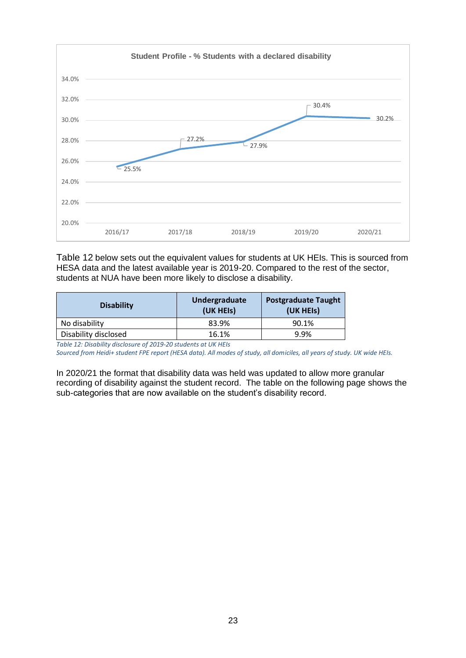

[Table 12](#page-23-0) below sets out the equivalent values for students at UK HEIs. This is sourced from HESA data and the latest available year is 2019-20. Compared to the rest of the sector, students at NUA have been more likely to disclose a disability.

| <b>Disability</b>    | Undergraduate<br>(UK HEIS) | <b>Postgraduate Taught</b><br>(UK HEIS) |
|----------------------|----------------------------|-----------------------------------------|
| No disability        | 83.9%                      | 90.1%                                   |
| Disability disclosed | 16.1%                      | 9.9%                                    |

<span id="page-23-0"></span>*Table 12: Disability disclosure of 2019-20 students at UK HEIs*

*Sourced from Heidi+ student FPE report (HESA data). All modes of study, all domiciles, all years of study. UK wide HEIs.*

In 2020/21 the format that disability data was held was updated to allow more granular recording of disability against the student record. The table on the following page shows the sub-categories that are now available on the student's disability record.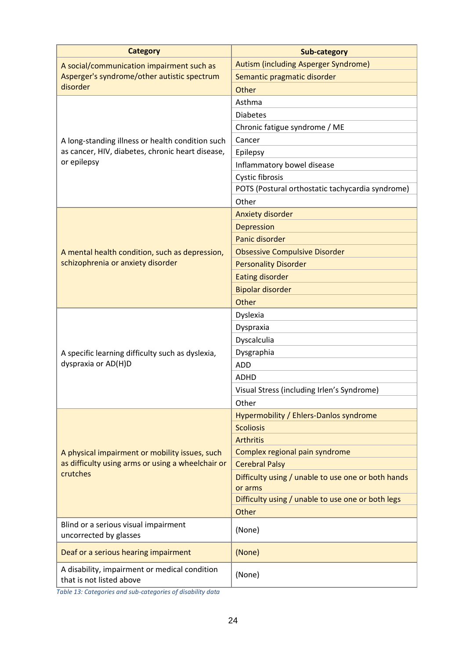| <b>Category</b>                                                           | <b>Sub-category</b>                                           |
|---------------------------------------------------------------------------|---------------------------------------------------------------|
| A social/communication impairment such as                                 | Autism (including Asperger Syndrome)                          |
| Asperger's syndrome/other autistic spectrum                               | Semantic pragmatic disorder                                   |
| disorder                                                                  | Other                                                         |
|                                                                           | Asthma                                                        |
|                                                                           | <b>Diabetes</b>                                               |
|                                                                           | Chronic fatigue syndrome / ME                                 |
| A long-standing illness or health condition such                          | Cancer                                                        |
| as cancer, HIV, diabetes, chronic heart disease,                          | Epilepsy                                                      |
| or epilepsy                                                               | Inflammatory bowel disease                                    |
|                                                                           | Cystic fibrosis                                               |
|                                                                           | POTS (Postural orthostatic tachycardia syndrome)              |
|                                                                           | Other                                                         |
|                                                                           | <b>Anxiety disorder</b>                                       |
|                                                                           | <b>Depression</b>                                             |
|                                                                           | Panic disorder                                                |
| A mental health condition, such as depression,                            | <b>Obsessive Compulsive Disorder</b>                          |
| schizophrenia or anxiety disorder                                         | <b>Personality Disorder</b>                                   |
|                                                                           | <b>Eating disorder</b>                                        |
|                                                                           | <b>Bipolar disorder</b>                                       |
|                                                                           | Other                                                         |
|                                                                           | Dyslexia                                                      |
|                                                                           | Dyspraxia                                                     |
|                                                                           | Dyscalculia                                                   |
| A specific learning difficulty such as dyslexia,                          | Dysgraphia                                                    |
| dyspraxia or AD(H)D                                                       | <b>ADD</b>                                                    |
|                                                                           | ADHD                                                          |
|                                                                           | Visual Stress (including Irlen's Syndrome)                    |
|                                                                           | Other                                                         |
|                                                                           | Hypermobility / Ehlers-Danlos syndrome                        |
|                                                                           | <b>Scoliosis</b>                                              |
|                                                                           | <b>Arthritis</b>                                              |
| A physical impairment or mobility issues, such                            | Complex regional pain syndrome                                |
| as difficulty using arms or using a wheelchair or                         | <b>Cerebral Palsy</b>                                         |
| crutches                                                                  | Difficulty using / unable to use one or both hands<br>or arms |
|                                                                           | Difficulty using / unable to use one or both legs             |
|                                                                           | Other                                                         |
| Blind or a serious visual impairment<br>uncorrected by glasses            | (None)                                                        |
| Deaf or a serious hearing impairment                                      | (None)                                                        |
| A disability, impairment or medical condition<br>that is not listed above | (None)                                                        |

*Table 13: Categories and sub-categories of disability data*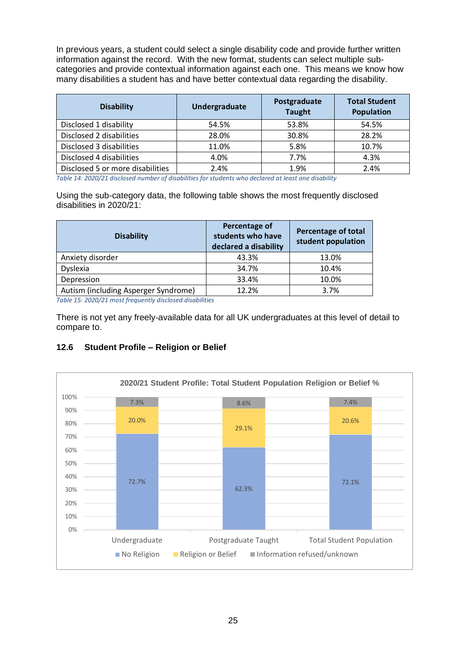In previous years, a student could select a single disability code and provide further written information against the record. With the new format, students can select multiple subcategories and provide contextual information against each one. This means we know how many disabilities a student has and have better contextual data regarding the disability.

| <b>Disability</b>                | Undergraduate | Postgraduate<br><b>Taught</b> | <b>Total Student</b><br><b>Population</b> |
|----------------------------------|---------------|-------------------------------|-------------------------------------------|
| Disclosed 1 disability           | 54.5%         | 53.8%                         | 54.5%                                     |
| Disclosed 2 disabilities         | 28.0%         | 30.8%                         | 28.2%                                     |
| Disclosed 3 disabilities         | 11.0%         | 5.8%                          | 10.7%                                     |
| Disclosed 4 disabilities         | 4.0%          | 7.7%                          | 4.3%                                      |
| Disclosed 5 or more disabilities | 2.4%          | 1.9%                          | 2.4%                                      |

*Table 14: 2020/21 disclosed number of disabilities for students who declared at least one disability*

Using the sub-category data, the following table shows the most frequently disclosed disabilities in 2020/21:

| <b>Disability</b>                    | Percentage of<br>students who have<br>declared a disability | Percentage of total<br>student population |
|--------------------------------------|-------------------------------------------------------------|-------------------------------------------|
| Anxiety disorder                     | 43.3%                                                       | 13.0%                                     |
| Dyslexia                             | 34.7%                                                       | 10.4%                                     |
| Depression                           | 33.4%                                                       | 10.0%                                     |
| Autism (including Asperger Syndrome) | 12.2%                                                       | 3.7%                                      |

*Table 15: 2020/21 most frequently disclosed disabilities*

There is not yet any freely-available data for all UK undergraduates at this level of detail to compare to.

## **12.6 Student Profile – Religion or Belief**

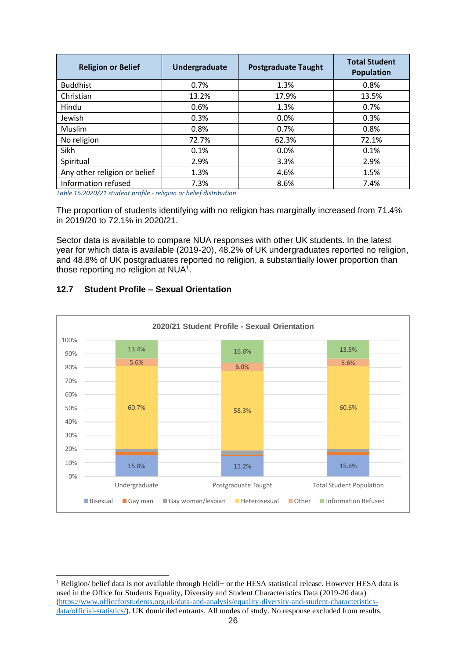| <b>Religion or Belief</b>    | Undergraduate | <b>Postgraduate Taught</b> | <b>Total Student</b><br><b>Population</b> |
|------------------------------|---------------|----------------------------|-------------------------------------------|
| <b>Buddhist</b>              | 0.7%          | 1.3%                       | 0.8%                                      |
| Christian                    | 13.2%         | 17.9%                      | 13.5%                                     |
| Hindu                        | 0.6%          | 1.3%                       | 0.7%                                      |
| Jewish                       | 0.3%          | 0.0%                       | 0.3%                                      |
| <b>Muslim</b>                | 0.8%          | 0.7%                       | 0.8%                                      |
| No religion                  | 72.7%         | 62.3%                      | 72.1%                                     |
| Sikh                         | 0.1%          | 0.0%                       | 0.1%                                      |
| Spiritual                    | 2.9%          | 3.3%                       | 2.9%                                      |
| Any other religion or belief | 1.3%          | 4.6%                       | 1.5%                                      |
| Information refused          | 7.3%          | 8.6%                       | 7.4%                                      |

*Table 16:2020/21 student profile - religion or belief distribution*

The proportion of students identifying with no religion has marginally increased from 71.4% in 2019/20 to 72.1% in 2020/21.

Sector data is available to compare NUA responses with other UK students. In the latest year for which data is available (2019-20), 48.2% of UK undergraduates reported no religion, and 48.8% of UK postgraduates reported no religion, a substantially lower proportion than those reporting no religion at  $NUA<sup>1</sup>$ .



#### **12.7 Student Profile – Sexual Orientation**

<sup>&</sup>lt;sup>1</sup> Religion/ belief data is not available through Heidi+ or the HESA statistical release. However HESA data is used in the Office for Students Equality, Diversity and Student Characteristics Data (2019-20 data) [\(https://www.officeforstudents.org.uk/data-and-analysis/equality-diversity-and-student-characteristics](https://www.officeforstudents.org.uk/data-and-analysis/equality-diversity-and-student-characteristics-data/official-statistics/)[data/official-statistics/\)](https://www.officeforstudents.org.uk/data-and-analysis/equality-diversity-and-student-characteristics-data/official-statistics/). UK domiciled entrants. All modes of study. No response excluded from results.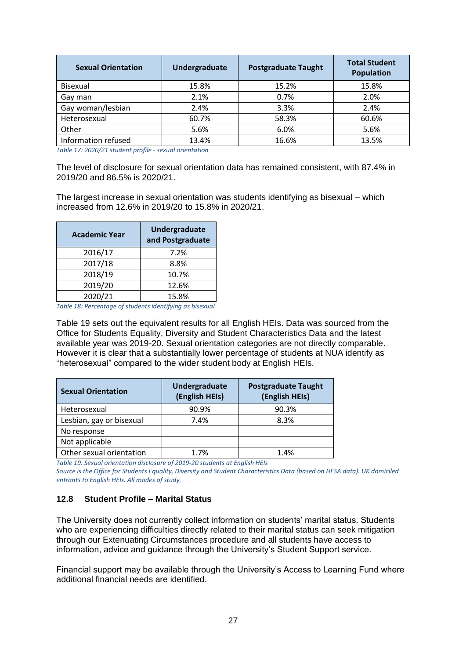| <b>Sexual Orientation</b> | Undergraduate | <b>Postgraduate Taught</b> | <b>Total Student</b><br><b>Population</b> |
|---------------------------|---------------|----------------------------|-------------------------------------------|
| <b>Bisexual</b>           | 15.8%         | 15.2%                      | 15.8%                                     |
| Gay man                   | 2.1%          | 0.7%                       | 2.0%                                      |
| Gay woman/lesbian         | 2.4%          | 3.3%                       | 2.4%                                      |
| Heterosexual              | 60.7%         | 58.3%                      | 60.6%                                     |
| Other                     | 5.6%          | 6.0%                       | 5.6%                                      |
| Information refused       | 13.4%         | 16.6%                      | 13.5%                                     |

*Table 17: 2020/21 student profile - sexual orientation*

The level of disclosure for sexual orientation data has remained consistent, with 87.4% in 2019/20 and 86.5% is 2020/21.

The largest increase in sexual orientation was students identifying as bisexual – which increased from 12.6% in 2019/20 to 15.8% in 2020/21.

| <b>Academic Year</b> | <b>Undergraduate</b><br>and Postgraduate |
|----------------------|------------------------------------------|
| 2016/17              | 7.2%                                     |
| 2017/18              | 8.8%                                     |
| 2018/19              | 10.7%                                    |
| 2019/20              | 12.6%                                    |
| 2020/21              | 15.8%                                    |

*Table 18: Percentage of students identifying as bisexual*

[Table 19](#page-27-0) sets out the equivalent results for all English HEIs. Data was sourced from the Office for Students Equality, Diversity and Student Characteristics Data and the latest available year was 2019-20. Sexual orientation categories are not directly comparable. However it is clear that a substantially lower percentage of students at NUA identify as "heterosexual" compared to the wider student body at English HEIs.

| <b>Sexual Orientation</b> | Undergraduate<br>(English HEIs) | <b>Postgraduate Taught</b><br>(English HEIs) |
|---------------------------|---------------------------------|----------------------------------------------|
| Heterosexual              | 90.9%                           | 90.3%                                        |
| Lesbian, gay or bisexual  | 7.4%                            | 8.3%                                         |
| No response               |                                 |                                              |
| Not applicable            |                                 |                                              |
| Other sexual orientation  | 1.7%                            | 1.4%                                         |

<span id="page-27-0"></span>*Table 19: Sexual orientation disclosure of 2019-20 students at English HEIs*

*Source is the Office for Students Equality, Diversity and Student Characteristics Data (based on HESA data). UK domiciled entrants to English HEIs. All modes of study.*

#### **12.8 Student Profile – Marital Status**

The University does not currently collect information on students' marital status. Students who are experiencing difficulties directly related to their marital status can seek mitigation through our Extenuating Circumstances procedure and all students have access to information, advice and guidance through the University's Student Support service.

Financial support may be available through the University's Access to Learning Fund where additional financial needs are identified.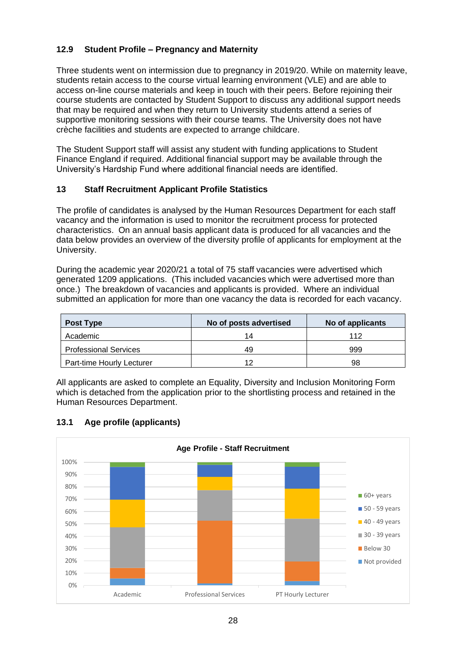## **12.9 Student Profile – Pregnancy and Maternity**

Three students went on intermission due to pregnancy in 2019/20. While on maternity leave, students retain access to the course virtual learning environment (VLE) and are able to access on-line course materials and keep in touch with their peers. Before rejoining their course students are contacted by Student Support to discuss any additional support needs that may be required and when they return to University students attend a series of supportive monitoring sessions with their course teams. The University does not have crèche facilities and students are expected to arrange childcare.

The Student Support staff will assist any student with funding applications to Student Finance England if required. Additional financial support may be available through the University's Hardship Fund where additional financial needs are identified.

#### **13 Staff Recruitment Applicant Profile Statistics**

The profile of candidates is analysed by the Human Resources Department for each staff vacancy and the information is used to monitor the recruitment process for protected characteristics. On an annual basis applicant data is produced for all vacancies and the data below provides an overview of the diversity profile of applicants for employment at the University.

During the academic year 2020/21 a total of 75 staff vacancies were advertised which generated 1209 applications. (This included vacancies which were advertised more than once.) The breakdown of vacancies and applicants is provided. Where an individual submitted an application for more than one vacancy the data is recorded for each vacancy.

| Post Type                    | No of posts advertised | No of applicants |
|------------------------------|------------------------|------------------|
| Academic                     | 14                     | 112              |
| <b>Professional Services</b> | 49                     | 999              |
| Part-time Hourly Lecturer    | 12                     | 98               |

All applicants are asked to complete an Equality, Diversity and Inclusion Monitoring Form which is detached from the application prior to the shortlisting process and retained in the Human Resources Department.



## **13.1 Age profile (applicants)**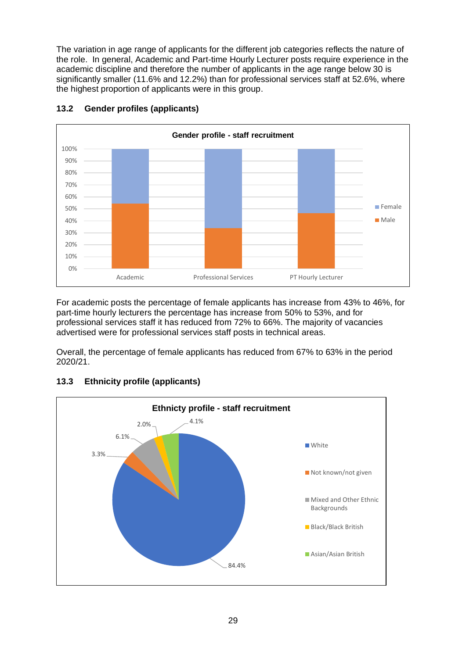The variation in age range of applicants for the different job categories reflects the nature of the role. In general, Academic and Part-time Hourly Lecturer posts require experience in the academic discipline and therefore the number of applicants in the age range below 30 is significantly smaller (11.6% and 12.2%) than for professional services staff at 52.6%, where the highest proportion of applicants were in this group.



## **13.2 Gender profiles (applicants)**

For academic posts the percentage of female applicants has increase from 43% to 46%, for part-time hourly lecturers the percentage has increase from 50% to 53%, and for professional services staff it has reduced from 72% to 66%. The majority of vacancies advertised were for professional services staff posts in technical areas.

Overall, the percentage of female applicants has reduced from 67% to 63% in the period 2020/21.



## **13.3 Ethnicity profile (applicants)**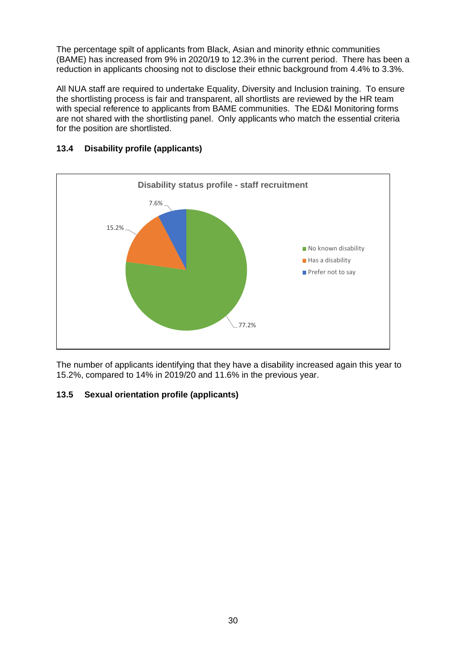The percentage spilt of applicants from Black, Asian and minority ethnic communities (BAME) has increased from 9% in 2020/19 to 12.3% in the current period. There has been a reduction in applicants choosing not to disclose their ethnic background from 4.4% to 3.3%.

All NUA staff are required to undertake Equality, Diversity and Inclusion training. To ensure the shortlisting process is fair and transparent, all shortlists are reviewed by the HR team with special reference to applicants from BAME communities. The ED&I Monitoring forms are not shared with the shortlisting panel. Only applicants who match the essential criteria for the position are shortlisted.



## **13.4 Disability profile (applicants)**

The number of applicants identifying that they have a disability increased again this year to 15.2%, compared to 14% in 2019/20 and 11.6% in the previous year.

## **13.5 Sexual orientation profile (applicants)**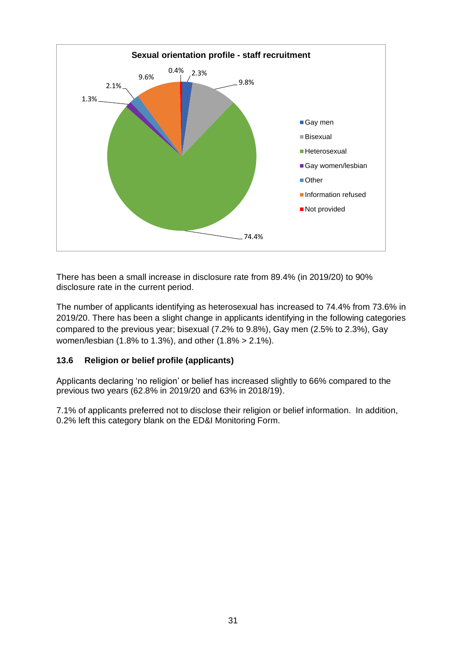

There has been a small increase in disclosure rate from 89.4% (in 2019/20) to 90% disclosure rate in the current period.

The number of applicants identifying as heterosexual has increased to 74.4% from 73.6% in 2019/20. There has been a slight change in applicants identifying in the following categories compared to the previous year; bisexual (7.2% to 9.8%), Gay men (2.5% to 2.3%), Gay women/lesbian (1.8% to 1.3%), and other (1.8% > 2.1%).

## **13.6 Religion or belief profile (applicants)**

Applicants declaring 'no religion' or belief has increased slightly to 66% compared to the previous two years (62.8% in 2019/20 and 63% in 2018/19).

7.1% of applicants preferred not to disclose their religion or belief information. In addition, 0.2% left this category blank on the ED&I Monitoring Form.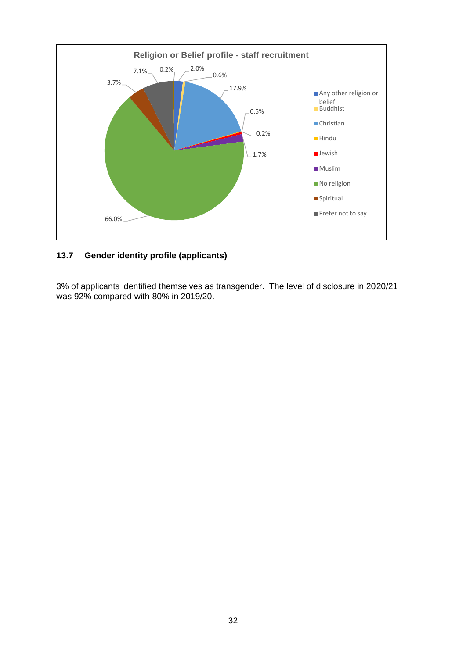

## **13.7 Gender identity profile (applicants)**

3% of applicants identified themselves as transgender. The level of disclosure in 2020/21 was 92% compared with 80% in 2019/20.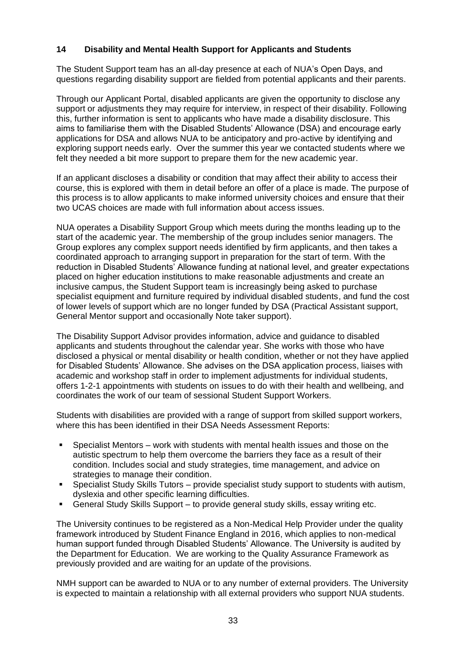#### **14 Disability and Mental Health Support for Applicants and Students**

The Student Support team has an all-day presence at each of NUA's Open Days, and questions regarding disability support are fielded from potential applicants and their parents.

Through our Applicant Portal, disabled applicants are given the opportunity to disclose any support or adjustments they may require for interview, in respect of their disability. Following this, further information is sent to applicants who have made a disability disclosure. This aims to familiarise them with the Disabled Students' Allowance (DSA) and encourage early applications for DSA and allows NUA to be anticipatory and pro-active by identifying and exploring support needs early. Over the summer this year we contacted students where we felt they needed a bit more support to prepare them for the new academic year.

If an applicant discloses a disability or condition that may affect their ability to access their course, this is explored with them in detail before an offer of a place is made. The purpose of this process is to allow applicants to make informed university choices and ensure that their two UCAS choices are made with full information about access issues.

NUA operates a Disability Support Group which meets during the months leading up to the start of the academic year. The membership of the group includes senior managers. The Group explores any complex support needs identified by firm applicants, and then takes a coordinated approach to arranging support in preparation for the start of term. With the reduction in Disabled Students' Allowance funding at national level, and greater expectations placed on higher education institutions to make reasonable adjustments and create an inclusive campus, the Student Support team is increasingly being asked to purchase specialist equipment and furniture required by individual disabled students, and fund the cost of lower levels of support which are no longer funded by DSA (Practical Assistant support, General Mentor support and occasionally Note taker support).

The Disability Support Advisor provides information, advice and guidance to disabled applicants and students throughout the calendar year. She works with those who have disclosed a physical or mental disability or health condition, whether or not they have applied for Disabled Students' Allowance. She advises on the DSA application process, liaises with academic and workshop staff in order to implement adjustments for individual students, offers 1-2-1 appointments with students on issues to do with their health and wellbeing, and coordinates the work of our team of sessional Student Support Workers.

Students with disabilities are provided with a range of support from skilled support workers, where this has been identified in their DSA Needs Assessment Reports:

- Specialist Mentors work with students with mental health issues and those on the autistic spectrum to help them overcome the barriers they face as a result of their condition. Includes social and study strategies, time management, and advice on strategies to manage their condition.
- Specialist Study Skills Tutors provide specialist study support to students with autism, dyslexia and other specific learning difficulties.
- General Study Skills Support to provide general study skills, essay writing etc.

The University continues to be registered as a Non-Medical Help Provider under the quality framework introduced by Student Finance England in 2016, which applies to non-medical human support funded through Disabled Students' Allowance. The University is audited by the Department for Education. We are working to the Quality Assurance Framework as previously provided and are waiting for an update of the provisions.

NMH support can be awarded to NUA or to any number of external providers. The University is expected to maintain a relationship with all external providers who support NUA students.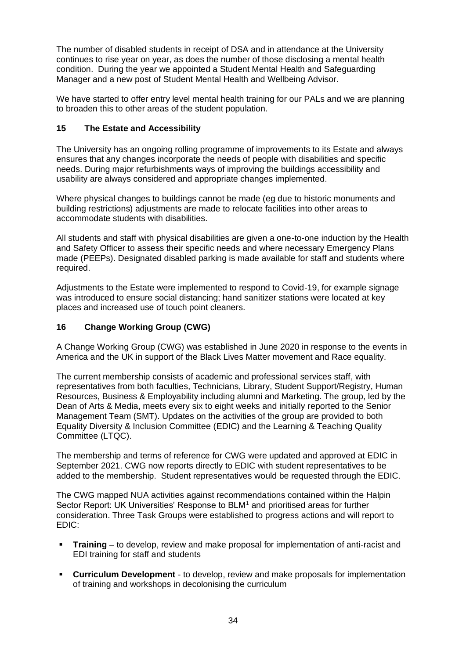The number of disabled students in receipt of DSA and in attendance at the University continues to rise year on year, as does the number of those disclosing a mental health condition. During the year we appointed a Student Mental Health and Safeguarding Manager and a new post of Student Mental Health and Wellbeing Advisor.

We have started to offer entry level mental health training for our PALs and we are planning to broaden this to other areas of the student population.

## **15 The Estate and Accessibility**

The University has an ongoing rolling programme of improvements to its Estate and always ensures that any changes incorporate the needs of people with disabilities and specific needs. During major refurbishments ways of improving the buildings accessibility and usability are always considered and appropriate changes implemented.

Where physical changes to buildings cannot be made (eg due to historic monuments and building restrictions) adjustments are made to relocate facilities into other areas to accommodate students with disabilities.

All students and staff with physical disabilities are given a one-to-one induction by the Health and Safety Officer to assess their specific needs and where necessary Emergency Plans made (PEEPs). Designated disabled parking is made available for staff and students where required.

Adjustments to the Estate were implemented to respond to Covid-19, for example signage was introduced to ensure social distancing; hand sanitizer stations were located at key places and increased use of touch point cleaners.

## **16 Change Working Group (CWG)**

A Change Working Group (CWG) was established in June 2020 in response to the events in America and the UK in support of the Black Lives Matter movement and Race equality.

The current membership consists of academic and professional services staff, with representatives from both faculties, Technicians, Library, Student Support/Registry, Human Resources, Business & Employability including alumni and Marketing. The group, led by the Dean of Arts & Media, meets every six to eight weeks and initially reported to the Senior Management Team (SMT). Updates on the activities of the group are provided to both Equality Diversity & Inclusion Committee (EDIC) and the Learning & Teaching Quality Committee (LTQC).

The membership and terms of reference for CWG were updated and approved at EDIC in September 2021. CWG now reports directly to EDIC with student representatives to be added to the membership. Student representatives would be requested through the EDIC.

The CWG mapped NUA activities against recommendations contained within the Halpin Sector Report: UK Universities' Response to BLM<sup>1</sup> and prioritised areas for further consideration. Three Task Groups were established to progress actions and will report to EDIC:

- **Training** to develop, review and make proposal for implementation of anti-racist and EDI training for staff and students
- **Curriculum Development** to develop, review and make proposals for implementation of training and workshops in decolonising the curriculum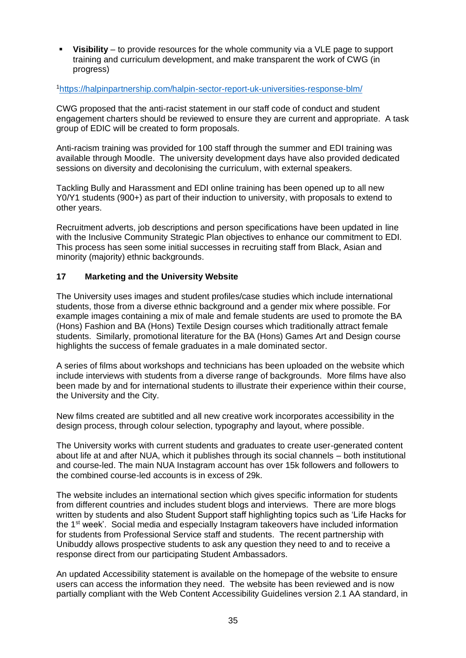▪ **Visibility** – to provide resources for the whole community via a VLE page to support training and curriculum development, and make transparent the work of CWG (in progress)

#### <sup>1</sup><https://halpinpartnership.com/halpin-sector-report-uk-universities-response-blm/>

CWG proposed that the anti-racist statement in our staff code of conduct and student engagement charters should be reviewed to ensure they are current and appropriate. A task group of EDIC will be created to form proposals.

Anti-racism training was provided for 100 staff through the summer and EDI training was available through Moodle. The university development days have also provided dedicated sessions on diversity and decolonising the curriculum, with external speakers.

Tackling Bully and Harassment and EDI online training has been opened up to all new Y0/Y1 students (900+) as part of their induction to university, with proposals to extend to other years.

Recruitment adverts, job descriptions and person specifications have been updated in line with the Inclusive Community Strategic Plan objectives to enhance our commitment to EDI. This process has seen some initial successes in recruiting staff from Black, Asian and minority (majority) ethnic backgrounds.

#### **17 Marketing and the University Website**

The University uses images and student profiles/case studies which include international students, those from a diverse ethnic background and a gender mix where possible. For example images containing a mix of male and female students are used to promote the BA (Hons) Fashion and BA (Hons) Textile Design courses which traditionally attract female students. Similarly, promotional literature for the BA (Hons) Games Art and Design course highlights the success of female graduates in a male dominated sector.

A series of films about workshops and technicians has been uploaded on the website which include interviews with students from a diverse range of backgrounds. More films have also been made by and for international students to illustrate their experience within their course, the University and the City.

New films created are subtitled and all new creative work incorporates accessibility in the design process, through colour selection, typography and layout, where possible.

The University works with current students and graduates to create user-generated content about life at and after NUA, which it publishes through its social channels – both institutional and course-led. The main NUA Instagram account has over 15k followers and followers to the combined course-led accounts is in excess of 29k.

The website includes an international section which gives specific information for students from different countries and includes student blogs and interviews. There are more blogs written by students and also Student Support staff highlighting topics such as 'Life Hacks for the  $1<sup>st</sup>$  week'. Social media and especially Instagram takeovers have included information for students from Professional Service staff and students. The recent partnership with Unibuddy allows prospective students to ask any question they need to and to receive a response direct from our participating Student Ambassadors.

An updated Accessibility statement is available on the homepage of the website to ensure users can access the information they need. The website has been reviewed and is now partially compliant with the Web Content Accessibility Guidelines version 2.1 AA standard, in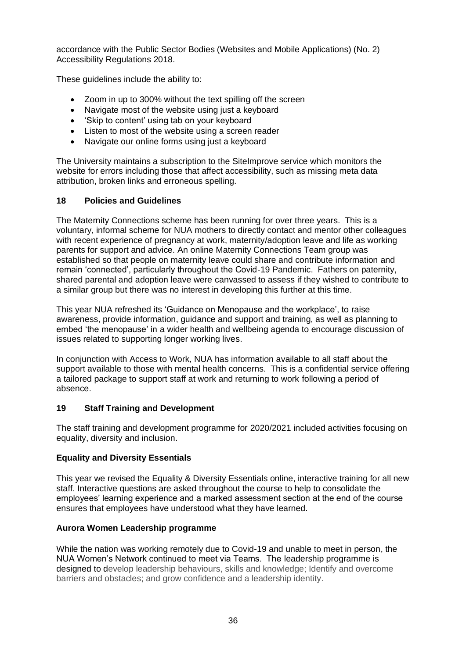accordance with the Public Sector Bodies (Websites and Mobile Applications) (No. 2) Accessibility Regulations 2018.

These guidelines include the ability to:

- Zoom in up to 300% without the text spilling off the screen
- Navigate most of the website using just a keyboard
- 'Skip to content' using tab on your keyboard
- Listen to most of the website using a screen reader
- Navigate our online forms using just a keyboard

The University maintains a subscription to the SiteImprove service which monitors the website for errors including those that affect accessibility, such as missing meta data attribution, broken links and erroneous spelling.

#### **18 Policies and Guidelines**

The Maternity Connections scheme has been running for over three years. This is a voluntary, informal scheme for NUA mothers to directly contact and mentor other colleagues with recent experience of pregnancy at work, maternity/adoption leave and life as working parents for support and advice. An online Maternity Connections Team group was established so that people on maternity leave could share and contribute information and remain 'connected', particularly throughout the Covid-19 Pandemic. Fathers on paternity, shared parental and adoption leave were canvassed to assess if they wished to contribute to a similar group but there was no interest in developing this further at this time.

This year NUA refreshed its 'Guidance on Menopause and the workplace', to raise awareness, provide information, guidance and support and training, as well as planning to embed 'the menopause' in a wider health and wellbeing agenda to encourage discussion of issues related to supporting longer working lives.

In conjunction with Access to Work, NUA has information available to all staff about the support available to those with mental health concerns. This is a confidential service offering a tailored package to support staff at work and returning to work following a period of absence.

#### **19 Staff Training and Development**

The staff training and development programme for 2020/2021 included activities focusing on equality, diversity and inclusion.

## **Equality and Diversity Essentials**

This year we revised the Equality & Diversity Essentials online, interactive training for all new staff. Interactive questions are asked throughout the course to help to consolidate the employees' learning experience and a marked assessment section at the end of the course ensures that employees have understood what they have learned.

#### **Aurora Women Leadership programme**

While the nation was working remotely due to Covid-19 and unable to meet in person, the NUA Women's Network continued to meet via Teams. The leadership programme is designed to develop leadership behaviours, skills and knowledge; Identify and overcome barriers and obstacles; and grow confidence and a leadership identity.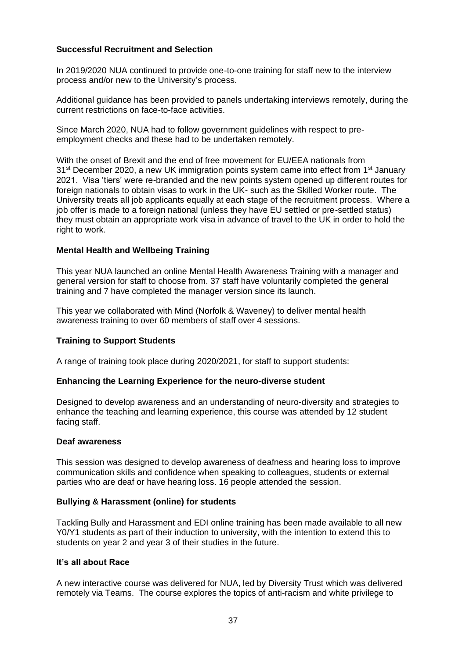#### **Successful Recruitment and Selection**

In 2019/2020 NUA continued to provide one-to-one training for staff new to the interview process and/or new to the University's process.

Additional guidance has been provided to panels undertaking interviews remotely, during the current restrictions on face-to-face activities.

Since March 2020, NUA had to follow government guidelines with respect to preemployment checks and these had to be undertaken remotely.

With the onset of Brexit and the end of free movement for EU/EEA nationals from 31<sup>st</sup> December 2020, a new UK immigration points system came into effect from 1<sup>st</sup> January 2021. Visa 'tiers' were re-branded and the new points system opened up different routes for foreign nationals to obtain visas to work in the UK- such as the Skilled Worker route. The University treats all job applicants equally at each stage of the recruitment process. Where a job offer is made to a foreign national (unless they have EU settled or pre-settled status) they must obtain an appropriate work visa in advance of travel to the UK in order to hold the right to work.

#### **Mental Health and Wellbeing Training**

This year NUA launched an online Mental Health Awareness Training with a manager and general version for staff to choose from. 37 staff have voluntarily completed the general training and 7 have completed the manager version since its launch.

This year we collaborated with Mind (Norfolk & Waveney) to deliver mental health awareness training to over 60 members of staff over 4 sessions.

#### **Training to Support Students**

A range of training took place during 2020/2021, for staff to support students:

#### **Enhancing the Learning Experience for the neuro-diverse student**

Designed to develop awareness and an understanding of neuro-diversity and strategies to enhance the teaching and learning experience, this course was attended by 12 student facing staff.

#### **Deaf awareness**

This session was designed to develop awareness of deafness and hearing loss to improve communication skills and confidence when speaking to colleagues, students or external parties who are deaf or have hearing loss. 16 people attended the session.

#### **Bullying & Harassment (online) for students**

Tackling Bully and Harassment and EDI online training has been made available to all new Y0/Y1 students as part of their induction to university, with the intention to extend this to students on year 2 and year 3 of their studies in the future.

#### **It's all about Race**

A new interactive course was delivered for NUA, led by Diversity Trust which was delivered remotely via Teams. The course explores the topics of anti-racism and white privilege to